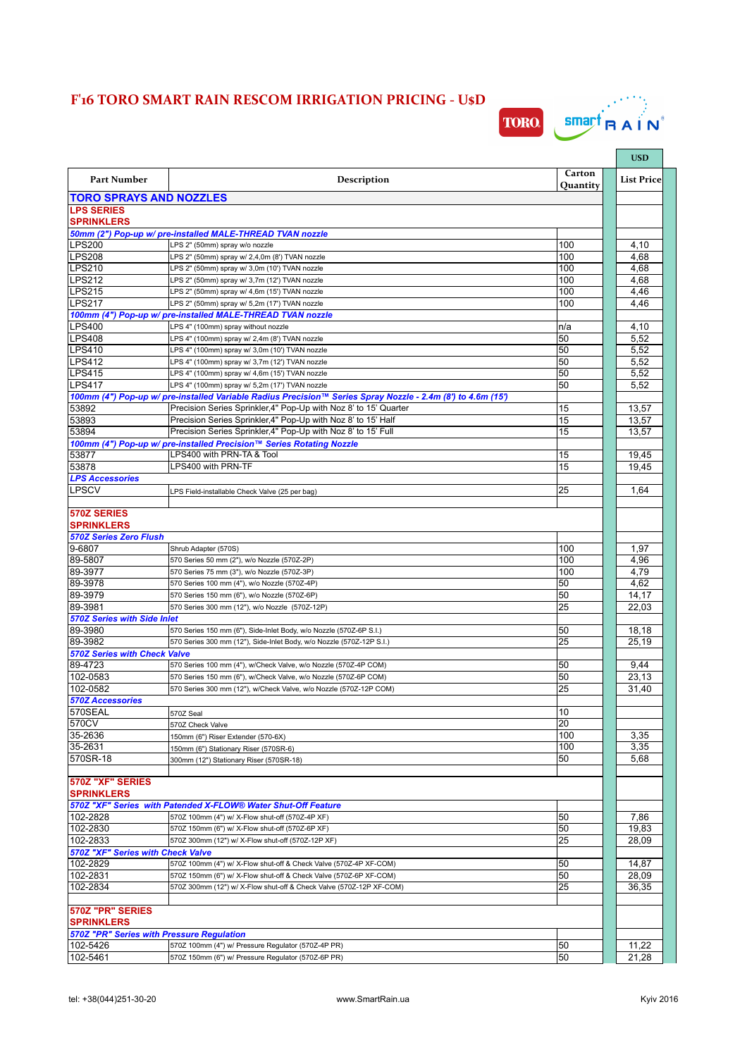## **F'16 TORO SMART RAIN RESCOM IRRIGATION PRICING - U\$D**



|                                                       |                                                                                                                                                                                 |            | <b>USD</b>        |
|-------------------------------------------------------|---------------------------------------------------------------------------------------------------------------------------------------------------------------------------------|------------|-------------------|
| <b>Part Number</b>                                    | <b>Description</b>                                                                                                                                                              | Carton     | <b>List Price</b> |
|                                                       |                                                                                                                                                                                 | Quantity   |                   |
| <b>TORO SPRAYS AND NOZZLES</b><br><b>LPS SERIES</b>   |                                                                                                                                                                                 |            |                   |
| <b>SPRINKLERS</b>                                     |                                                                                                                                                                                 |            |                   |
|                                                       | 50mm (2") Pop-up w/ pre-installed MALE-THREAD TVAN nozzle                                                                                                                       |            |                   |
| <b>LPS200</b><br><b>LPS208</b>                        | LPS 2" (50mm) spray w/o nozzle                                                                                                                                                  | 100<br>100 | 4,10              |
| LPS210                                                | LPS 2" (50mm) spray w/ 2,4,0m (8') TVAN nozzle<br>LPS 2" (50mm) spray w/ 3,0m (10') TVAN nozzle                                                                                 | 100        | 4,68<br>4,68      |
| LPS212                                                | LPS 2" (50mm) spray w/ 3,7m (12') TVAN nozzle                                                                                                                                   | 100        | 4.68              |
| LPS215                                                | LPS 2" (50mm) spray w/ 4,6m (15') TVAN nozzle                                                                                                                                   | 100        | 4,46              |
| <b>LPS217</b>                                         | LPS 2" (50mm) spray w/ 5,2m (17') TVAN nozzle                                                                                                                                   | 100        | 4,46              |
|                                                       | 100mm (4") Pop-up w/ pre-installed MALE-THREAD TVAN nozzle                                                                                                                      |            |                   |
| <b>LPS400</b>                                         | LPS 4" (100mm) spray without nozzle                                                                                                                                             | n/a        | 4,10              |
| LPS408                                                | LPS 4" (100mm) spray w/ 2,4m (8') TVAN nozzle                                                                                                                                   | 50         | 5,52              |
| LPS410                                                | LPS 4" (100mm) spray w/ 3,0m (10') TVAN nozzle                                                                                                                                  | 50         | 5,52              |
| <b>LPS412</b>                                         | LPS 4" (100mm) spray w/ 3,7m (12') TVAN nozzle                                                                                                                                  | 50         | 5,52              |
| <b>LPS415</b>                                         | LPS 4" (100mm) spray w/ 4,6m (15') TVAN nozzle                                                                                                                                  | 50         | 5,52              |
| LPS417                                                | LPS 4" (100mm) spray w/ 5,2m (17') TVAN nozzle                                                                                                                                  | 50         | 5,52              |
|                                                       | 100mm (4") Pop-up w/ pre-installed Variable Radius Precision™ Series Spray Nozzle - 2.4m (8") to 4.6m (15")<br>Precision Series Sprinkler, 4" Pop-Up with Noz 8' to 15' Quarter |            |                   |
| 53892<br>53893                                        | Precision Series Sprinkler, 4" Pop-Up with Noz 8' to 15' Half                                                                                                                   | 15<br>15   | 13,57<br>13,57    |
| 53894                                                 | Precision Series Sprinkler, 4" Pop-Up with Noz 8' to 15' Full                                                                                                                   | 15         | 13,57             |
|                                                       | 100mm (4") Pop-up w/ pre-installed Precision™ Series Rotating Nozzle                                                                                                            |            |                   |
| 53877                                                 | LPS400 with PRN-TA & Tool                                                                                                                                                       | 15         | 19,45             |
| 53878                                                 | LPS400 with PRN-TF                                                                                                                                                              | 15         | 19,45             |
| <b>LPS Accessories</b>                                |                                                                                                                                                                                 |            |                   |
| LPSCV                                                 | LPS Field-installable Check Valve (25 per bag)                                                                                                                                  | 25         | 1,64              |
|                                                       |                                                                                                                                                                                 |            |                   |
| 570Z SERIES<br><b>SPRINKLERS</b>                      |                                                                                                                                                                                 |            |                   |
| <b>570Z Series Zero Flush</b>                         |                                                                                                                                                                                 |            |                   |
| 9-6807                                                | Shrub Adapter (570S)                                                                                                                                                            | 100        | 1,97              |
| 89-5807                                               | 570 Series 50 mm (2"), w/o Nozzle (570Z-2P)                                                                                                                                     | 100        | 4,96              |
| 89-3977                                               | 570 Series 75 mm (3"), w/o Nozzle (570Z-3P)                                                                                                                                     | 100        | 4,79              |
| 89-3978                                               | 570 Series 100 mm (4"), w/o Nozzle (570Z-4P)                                                                                                                                    | 50         | 4,62              |
| 89-3979<br>89-3981                                    | 570 Series 150 mm (6"), w/o Nozzle (570Z-6P)<br>570 Series 300 mm (12"), w/o Nozzle (570Z-12P)                                                                                  | 50<br>25   | 14,17<br>22,03    |
| <b>570Z Series with Side Inlet</b>                    |                                                                                                                                                                                 |            |                   |
| 89-3980                                               | 570 Series 150 mm (6"), Side-Inlet Body, w/o Nozzle (570Z-6P S.I.)                                                                                                              | 50         | 18,18             |
| 89-3982                                               | 570 Series 300 mm (12"), Side-Inlet Body, w/o Nozzle (570Z-12P S.I.)                                                                                                            | 25         | 25,19             |
| <b>570Z Series with Check Valve</b>                   |                                                                                                                                                                                 |            |                   |
| 89-4723                                               | 570 Series 100 mm (4"), w/Check Valve, w/o Nozzle (570Z-4P COM)                                                                                                                 | 50         | 9,44              |
| 102-0583                                              | 570 Series 150 mm (6"), w/Check Valve, w/o Nozzle (570Z-6P COM)                                                                                                                 | 50         | 23,13             |
| 102-0582                                              | 570 Series 300 mm (12"), w/Check Valve, w/o Nozzle (570Z-12P COM)                                                                                                               | 25         | 31,40             |
| <b>570Z Accessories</b>                               |                                                                                                                                                                                 |            |                   |
| 570SEAL                                               | 570Z Seal                                                                                                                                                                       | 10         |                   |
| 570CV                                                 | 570Z Check Valve                                                                                                                                                                | 20         |                   |
| 35-2636                                               | 150mm (6") Riser Extender (570-6X)                                                                                                                                              | 100        | 3,35              |
| 35-2631                                               | 150mm (6") Stationary Riser (570SR-6)                                                                                                                                           | 100        | 3,35              |
| 570SR-18                                              | 300mm (12") Stationary Riser (570SR-18)                                                                                                                                         | 50         | 5,68              |
| 570Z "XF" SERIES                                      |                                                                                                                                                                                 |            |                   |
| <b>SPRINKLERS</b>                                     | 570Z "XF" Series with Patended X-FLOW® Water Shut-Off Feature                                                                                                                   |            |                   |
| 102-2828                                              | 570Z 100mm (4") w/ X-Flow shut-off (570Z-4P XF)                                                                                                                                 | 50         | 7,86              |
| 102-2830                                              | 570Z 150mm (6") w/ X-Flow shut-off (570Z-6P XF)                                                                                                                                 | 50         | 19,83             |
| 102-2833                                              | 570Z 300mm (12") w/ X-Flow shut-off (570Z-12P XF)                                                                                                                               | 25         | 28,09             |
| 570Z "XF" Series with Check Valve                     |                                                                                                                                                                                 |            |                   |
| 102-2829                                              | 570Z 100mm (4") w/ X-Flow shut-off & Check Valve (570Z-4P XF-COM)                                                                                                               | 50         | 14,87             |
| 102-2831                                              | 570Z 150mm (6") w/ X-Flow shut-off & Check Valve (570Z-6P XF-COM)                                                                                                               | 50         | 28,09             |
| 102-2834                                              | 570Z 300mm (12") w/ X-Flow shut-off & Check Valve (570Z-12P XF-COM)                                                                                                             | 25         | 36,35             |
|                                                       |                                                                                                                                                                                 |            |                   |
| 570Z "PR" SERIES                                      |                                                                                                                                                                                 |            |                   |
| <b>SPRINKLERS</b>                                     |                                                                                                                                                                                 |            |                   |
| 570Z "PR" Series with Pressure Regulation<br>102-5426 | 570Z 100mm (4") w/ Pressure Regulator (570Z-4P PR)                                                                                                                              | 50         | 11,22             |
| 102-5461                                              | 570Z 150mm (6") w/ Pressure Regulator (570Z-6P PR)                                                                                                                              | 50         | 21,28             |
|                                                       |                                                                                                                                                                                 |            |                   |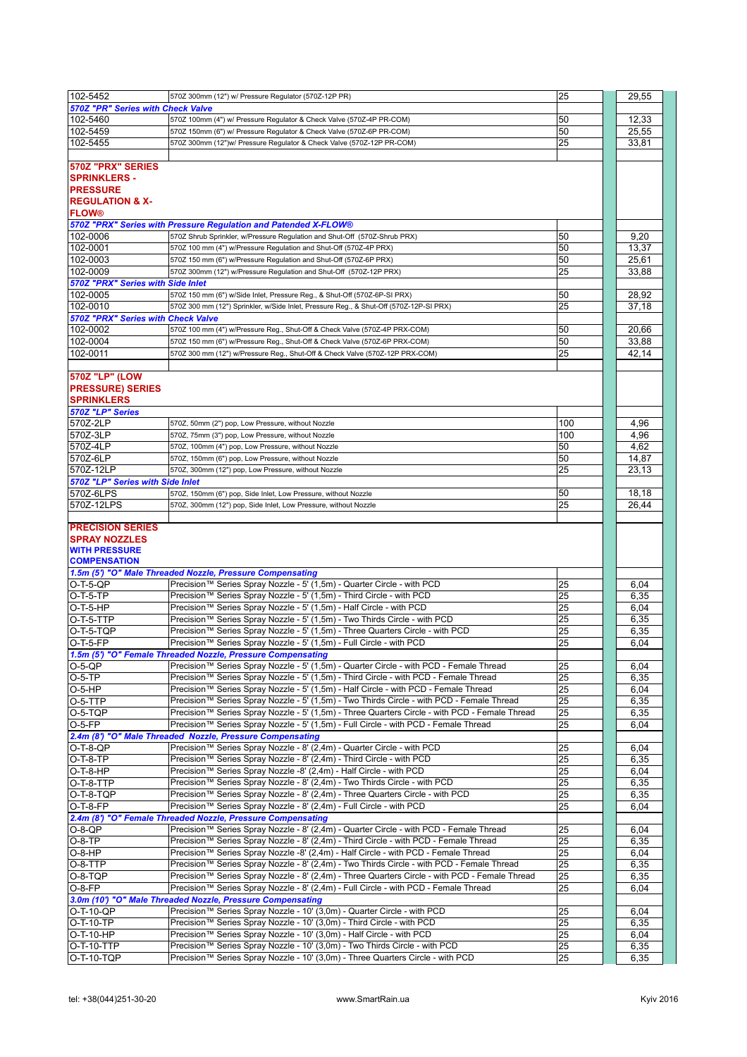| 102-5452                           | 570Z 300mm (12") w/ Pressure Regulator (570Z-12P PR)                                          | 25  | 29,55 |
|------------------------------------|-----------------------------------------------------------------------------------------------|-----|-------|
| 570Z "PR" Series with Check Valve  |                                                                                               |     |       |
|                                    |                                                                                               |     |       |
| 102-5460                           | 570Z 100mm (4") w/ Pressure Regulator & Check Valve (570Z-4P PR-COM)                          | 50  | 12,33 |
| 102-5459                           | 570Z 150mm (6") w/ Pressure Regulator & Check Valve (570Z-6P PR-COM)                          | 50  | 25,55 |
| 102-5455                           | 570Z 300mm (12")w/ Pressure Regulator & Check Valve (570Z-12P PR-COM)                         | 25  | 33,81 |
|                                    |                                                                                               |     |       |
| 570Z "PRX" SERIES                  |                                                                                               |     |       |
|                                    |                                                                                               |     |       |
| <b>SPRINKLERS -</b>                |                                                                                               |     |       |
| <b>PRESSURE</b>                    |                                                                                               |     |       |
| <b>REGULATION &amp; X-</b>         |                                                                                               |     |       |
| <b>FLOW®</b>                       |                                                                                               |     |       |
|                                    | 570Z "PRX" Series with Pressure Regulation and Patended X-FLOW®                               |     |       |
| 102-0006                           | 570Z Shrub Sprinkler, w/Pressure Regulation and Shut-Off (570Z-Shrub PRX)                     | 50  | 9,20  |
|                                    |                                                                                               |     |       |
| 102-0001                           | 570Z 100 mm (4") w/Pressure Regulation and Shut-Off (570Z-4P PRX)                             | 50  | 13,37 |
| 102-0003                           | 570Z 150 mm (6") w/Pressure Regulation and Shut-Off (570Z-6P PRX)                             | 50  | 25,61 |
| 102-0009                           | 570Z 300mm (12") w/Pressure Regulation and Shut-Off (570Z-12P PRX)                            | 25  | 33,88 |
| 570Z "PRX" Series with Side Inlet  |                                                                                               |     |       |
| 102-0005                           | 570Z 150 mm (6") w/Side Inlet, Pressure Reg., & Shut-Off (570Z-6P-SI PRX)                     | 50  | 28,92 |
| 102-0010                           | 570Z 300 mm (12") Sprinkler, w/Side Inlet, Pressure Reg., & Shut-Off (570Z-12P-SI PRX)        | 25  |       |
|                                    |                                                                                               |     | 37,18 |
| 570Z "PRX" Series with Check Valve |                                                                                               |     |       |
| 102-0002                           | 570Z 100 mm (4") w/Pressure Reg., Shut-Off & Check Valve (570Z-4P PRX-COM)                    | 50  | 20,66 |
| 102-0004                           | 570Z 150 mm (6") w/Pressure Reg., Shut-Off & Check Valve (570Z-6P PRX-COM)                    | 50  | 33,88 |
| 102-0011                           | 570Z 300 mm (12") w/Pressure Reg., Shut-Off & Check Valve (570Z-12P PRX-COM)                  | 25  | 42,14 |
|                                    |                                                                                               |     |       |
|                                    |                                                                                               |     |       |
| 570Z "LP" (LOW                     |                                                                                               |     |       |
| <b>PRESSURE) SERIES</b>            |                                                                                               |     |       |
| <b>SPRINKLERS</b>                  |                                                                                               |     |       |
| 570Z "LP" Series                   |                                                                                               |     |       |
| 570Z-2LP                           | 570Z, 50mm (2") pop, Low Pressure, without Nozzle                                             | 100 | 4,96  |
|                                    |                                                                                               |     |       |
| 570Z-3LP                           | 570Z, 75mm (3") pop, Low Pressure, without Nozzle                                             | 100 | 4,96  |
| 570Z-4LP                           | 570Z, 100mm (4") pop, Low Pressure, without Nozzle                                            | 50  | 4,62  |
| 570Z-6LP                           | 570Z, 150mm (6") pop, Low Pressure, without Nozzle                                            | 50  | 14,87 |
| 570Z-12LP                          | 570Z, 300mm (12") pop, Low Pressure, without Nozzle                                           | 25  | 23,13 |
| 570Z "LP" Series with Side Inlet   |                                                                                               |     |       |
| 570Z-6LPS                          | 570Z, 150mm (6") pop, Side Inlet, Low Pressure, without Nozzle                                | 50  | 18,18 |
|                                    |                                                                                               |     |       |
| 570Z-12LPS                         | 570Z, 300mm (12") pop, Side Inlet, Low Pressure, without Nozzle                               | 25  | 26,44 |
|                                    |                                                                                               |     |       |
|                                    |                                                                                               |     |       |
| <b>PRECISION SERIES</b>            |                                                                                               |     |       |
|                                    |                                                                                               |     |       |
| <b>SPRAY NOZZLES</b>               |                                                                                               |     |       |
| <b>WITH PRESSURE</b>               |                                                                                               |     |       |
| <b>COMPENSATION</b>                |                                                                                               |     |       |
|                                    | 1.5m (5') "O" Male Threaded Nozzle, Pressure Compensating                                     |     |       |
| O-T-5-QP                           | Precision™ Series Spray Nozzle - 5' (1,5m) - Quarter Circle - with PCD                        | 25  | 6,04  |
| O-T-5-TP                           | Precision™ Series Spray Nozzle - 5' (1,5m) - Third Circle - with PCD                          | 25  | 6,35  |
| O-T-5-HP                           | Precision™ Series Spray Nozzle - 5' (1,5m) - Half Circle - with PCD                           | 25  | 6.04  |
|                                    |                                                                                               |     |       |
| $O-T-5-TTP$                        | Precision™ Series Spray Nozzle - 5' (1,5m) - Two Thirds Circle - with PCD                     | 25  | 6,35  |
| O-T-5-TQP                          | Precision™ Series Spray Nozzle - 5' (1,5m) - Three Quarters Circle - with PCD                 | 25  | 6,35  |
| O-T-5-FP                           | Precision™ Series Spray Nozzle - 5' (1,5m) - Full Circle - with PCD                           | 25  | 6,04  |
|                                    | (1.5m (5') "O" Female Threaded Nozzle, Pressure Compensating                                  |     |       |
| O-5-QP                             | Precision™ Series Spray Nozzle - 5' (1,5m) - Quarter Circle - with PCD - Female Thread        | 25  | 6,04  |
|                                    | Precision™ Series Spray Nozzle - 5' (1,5m) - Third Circle - with PCD - Female Thread          | 25  | 6,35  |
|                                    | Precision™ Series Spray Nozzle - 5' (1,5m) - Half Circle - with PCD - Female Thread           | 25  | 6,04  |
| O-5-HP                             |                                                                                               |     |       |
| O-5-TTP                            | Precision™ Series Spray Nozzle - 5' (1,5m) - Two Thirds Circle - with PCD - Female Thread     | 25  | 6,35  |
| O-5-TQP                            | Precision™ Series Spray Nozzle - 5' (1,5m) - Three Quarters Circle - with PCD - Female Thread | 25  | 6,35  |
| O-5-FP                             | Precision™ Series Spray Nozzle - 5' (1,5m) - Full Circle - with PCD - Female Thread           | 25  | 6,04  |
|                                    | 2.4m (8') "O" Male Threaded Nozzle, Pressure Compensating                                     |     |       |
|                                    | Precision™ Series Spray Nozzle - 8' (2,4m) - Quarter Circle - with PCD                        | 25  | 6,04  |
| O-T-8-QP                           | Precision™ Series Spray Nozzle - 8' (2,4m) - Third Circle - with PCD                          |     |       |
| O-T-8-TP                           |                                                                                               | 25  | 6,35  |
| $O-5-TP$<br>lO-T-8-HP              | Precision™ Series Spray Nozzle -8' (2,4m) - Half Circle - with PCD                            | 25  | 6,04  |
| O-T-8-TTP                          | Precision™ Series Spray Nozzle - 8' (2,4m) - Two Thirds Circle - with PCD                     | 25  | 6,35  |
| O-T-8-TQP                          | Precision™ Series Spray Nozzle - 8' (2,4m) - Three Quarters Circle - with PCD                 | 25  | 6,35  |
| O-T-8-FP                           | Precision™ Series Spray Nozzle - 8' (2,4m) - Full Circle - with PCD                           | 25  | 6,04  |
|                                    | 2.4m (8') "O" Female Threaded Nozzle, Pressure Compensating                                   |     |       |
|                                    |                                                                                               |     |       |
| O-8-QP                             | Precision™ Series Spray Nozzle - 8' (2,4m) - Quarter Circle - with PCD - Female Thread        | 25  | 6,04  |
| O-8-TP                             | Precision™ Series Spray Nozzle - 8' (2,4m) - Third Circle - with PCD - Female Thread          | 25  | 6,35  |
|                                    | Precision™ Series Spray Nozzle -8' (2,4m) - Half Circle - with PCD - Female Thread            | 25  | 6,04  |
|                                    | Precision™ Series Spray Nozzle - 8' (2,4m) - Two Thirds Circle - with PCD - Female Thread     | 25  | 6,35  |
| $O-B-HP$<br>$O-8-TTP$<br> O-8-TQP  | Precision™ Series Spray Nozzle - 8' (2,4m) - Three Quarters Circle - with PCD - Female Thread | 25  | 6,35  |
| O-8-FP                             | Precision™ Series Spray Nozzle - 8' (2,4m) - Full Circle - with PCD - Female Thread           | 25  | 6,04  |
|                                    |                                                                                               |     |       |
|                                    | 3.0m (10') "O" Male Threaded Nozzle, Pressure Compensating                                    |     |       |
|                                    | Precision™ Series Spray Nozzle - 10' (3,0m) - Quarter Circle - with PCD                       | 25  | 6,04  |
| O-T-10-QP<br>O-T-10-TP             | Precision™ Series Spray Nozzle - 10' (3,0m) - Third Circle - with PCD                         | 25  | 6,35  |
| O-T-10-HP                          | Precision™ Series Spray Nozzle - 10' (3,0m) - Half Circle - with PCD                          | 25  | 6,04  |
| O-T-10-TTP                         | Precision™ Series Spray Nozzle - 10' (3,0m) - Two Thirds Circle - with PCD                    | 25  | 6,35  |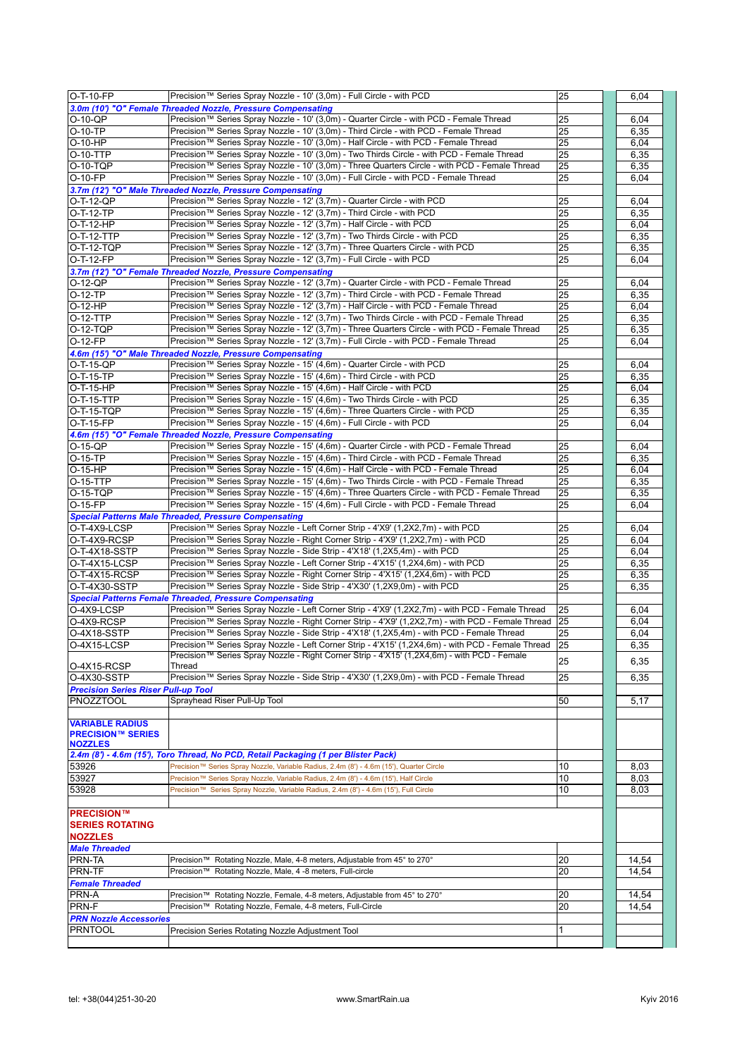| $O-T-10-FP$                                | Precision™ Series Spray Nozzle - 10' (3,0m) - Full Circle - with PCD                              | 25  | 6,04  |
|--------------------------------------------|---------------------------------------------------------------------------------------------------|-----|-------|
|                                            | 3.0m (10') "O" Female Threaded Nozzle, Pressure Compensating                                      |     |       |
| $O-10-QP$                                  | Precision™ Series Spray Nozzle - 10' (3,0m) - Quarter Circle - with PCD - Female Thread           | 25  | 6,04  |
| O-10-TP                                    | Precision™ Series Spray Nozzle - 10' (3,0m) - Third Circle - with PCD - Female Thread             | 25  | 6,35  |
| O-10-HP                                    | Precision™ Series Spray Nozzle - 10' (3,0m) - Half Circle - with PCD - Female Thread              | 25  | 6,04  |
| O-10-TTP                                   | Precision™ Series Spray Nozzle - 10' (3,0m) - Two Thirds Circle - with PCD - Female Thread        | 25  | 6,35  |
| O-10-TQP                                   | Precision™ Series Spray Nozzle - 10' (3,0m) - Three Quarters Circle - with PCD - Female Thread    | 25  | 6,35  |
| $O-10-FP$                                  | Precision™ Series Spray Nozzle - 10' (3,0m) - Full Circle - with PCD - Female Thread              | 25  | 6,04  |
|                                            | 3.7m (12') "O" Male Threaded Nozzle, Pressure Compensating                                        |     |       |
| O-T-12-QP                                  | Precision™ Series Spray Nozzle - 12' (3,7m) - Quarter Circle - with PCD                           | 25  | 6,04  |
| O-T-12-TP                                  | Precision™ Series Spray Nozzle - 12' (3,7m) - Third Circle - with PCD                             | 25  | 6,35  |
| O-T-12-HP                                  | Precision™ Series Spray Nozzle - 12' (3,7m) - Half Circle - with PCD                              | 25  | 6,04  |
| O-T-12-TTP                                 | Precision™ Series Spray Nozzle - 12' (3,7m) - Two Thirds Circle - with PCD                        | 25  | 6,35  |
| O-T-12-TQP                                 | Precision™ Series Spray Nozzle - 12' (3,7m) - Three Quarters Circle - with PCD                    | 25  | 6,35  |
| O-T-12-FP                                  | Precision™ Series Spray Nozzle - 12' (3,7m) - Full Circle - with PCD                              | 25  | 6,04  |
|                                            | 3.7m (12') "O" Female Threaded Nozzle, Pressure Compensating                                      |     |       |
| $O-12-QP$                                  | Precision™ Series Spray Nozzle - 12' (3,7m) - Quarter Circle - with PCD - Female Thread           | 25  | 6,04  |
| O-12-TP                                    | Precision™ Series Spray Nozzle - 12' (3,7m) - Third Circle - with PCD - Female Thread             | 25  | 6,35  |
| $O-12-HP$                                  | Precision™ Series Spray Nozzle - 12' (3,7m) - Half Circle - with PCD - Female Thread              | 25  | 6,04  |
| $O-12-TTP$                                 | Precision™ Series Spray Nozzle - 12' (3,7m) - Two Thirds Circle - with PCD - Female Thread        | 25  | 6,35  |
| $O-12-TQP$                                 | Precision™ Series Spray Nozzle - 12' (3,7m) - Three Quarters Circle - with PCD - Female Thread    | 25  | 6,35  |
| O-12-FP                                    | Precision™ Series Spray Nozzle - 12' (3,7m) - Full Circle - with PCD - Female Thread              | 25  | 6,04  |
|                                            | 4.6m (15') "O" Male Threaded Nozzle, Pressure Compensating                                        |     |       |
| O-T-15-QP                                  | Precision™ Series Spray Nozzle - 15' (4,6m) - Quarter Circle - with PCD                           | 25  | 6,04  |
| O-T-15-TP                                  | Precision™ Series Spray Nozzle - 15' (4,6m) - Third Circle - with PCD                             | 25  | 6,35  |
| O-T-15-HP                                  | Precision™ Series Spray Nozzle - 15' (4,6m) - Half Circle - with PCD                              | 25  | 6,04  |
| O-T-15-TTP                                 | Precision™ Series Spray Nozzle - 15' (4,6m) - Two Thirds Circle - with PCD                        | 25  | 6,35  |
| O-T-15-TQP                                 | Precision™ Series Spray Nozzle - 15' (4,6m) - Three Quarters Circle - with PCD                    | 25  | 6,35  |
| O-T-15-FP                                  | Precision™ Series Spray Nozzle - 15' (4,6m) - Full Circle - with PCD                              | 25  | 6,04  |
|                                            | 4.6m (15') "O" Female Threaded Nozzle, Pressure Compensating                                      |     |       |
| $O-15-QP$                                  | Precision™ Series Spray Nozzle - 15' (4,6m) - Quarter Circle - with PCD - Female Thread           | 25  | 6,04  |
|                                            | Precision™ Series Spray Nozzle - 15' (4,6m) - Third Circle - with PCD - Female Thread             | 25  |       |
| $O-15-TP$                                  | Precision™ Series Spray Nozzle - 15' (4,6m) - Half Circle - with PCD - Female Thread              |     | 6,35  |
| O-15-HP                                    |                                                                                                   | 25  | 6,04  |
| O-15-TTP                                   | Precision™ Series Spray Nozzle - 15' (4,6m) - Two Thirds Circle - with PCD - Female Thread        | 25  | 6,35  |
| $O-15-TQP$                                 | Precision™ Series Spray Nozzle - 15' (4,6m) - Three Quarters Circle - with PCD - Female Thread    | 25  | 6,35  |
| O-15-FP                                    | Precision™ Series Spray Nozzle - 15' (4,6m) - Full Circle - with PCD - Female Thread              | 25  | 6,04  |
|                                            | <b>Special Patterns Male Threaded, Pressure Compensating</b>                                      |     |       |
| O-T-4X9-LCSP                               | Precision™ Series Spray Nozzle - Left Corner Strip - 4'X9' (1,2X2,7m) - with PCD                  | 25  | 6,04  |
| O-T-4X9-RCSP                               | Precision™ Series Spray Nozzle - Right Corner Strip - 4'X9' (1,2X2,7m) - with PCD                 | 25  | 6,04  |
| O-T-4X18-SSTP                              | Precision™ Series Spray Nozzle - Side Strip - 4'X18' (1,2X5,4m) - with PCD                        | 25  | 6,04  |
| O-T-4X15-LCSP                              | Precision™ Series Spray Nozzle - Left Corner Strip - 4'X15' (1,2X4,6m) - with PCD                 | 25  | 6,35  |
| O-T-4X15-RCSP                              | Precision™ Series Spray Nozzle - Right Corner Strip - 4'X15' (1,2X4,6m) - with PCD                | 25  | 6,35  |
| O-T-4X30-SSTP                              | Precision™ Series Spray Nozzle - Side Strip - 4'X30' (1,2X9,0m) - with PCD                        | 25  | 6,35  |
|                                            | <b>Special Patterns Female Threaded, Pressure Compensating</b>                                    |     |       |
| O-4X9-LCSP                                 | Precision™ Series Spray Nozzle - Left Corner Strip - 4'X9' (1,2X2,7m) - with PCD - Female Thread  | 125 | 6,04  |
| O-4X9-RCSP                                 | Precision™ Series Spray Nozzle - Right Corner Strip - 4'X9' (1,2X2,7m) - with PCD - Female Thread | 125 | 6,04  |
| O-4X18-SSTP                                | Precision™ Series Spray Nozzle - Side Strip - 4'X18' (1,2X5,4m) - with PCD - Female Thread        | 25  | 6,04  |
| O-4X15-LCSP                                | Precision™ Series Spray Nozzle - Left Corner Strip - 4'X15' (1,2X4,6m) - with PCD - Female Thread | 25  | 6,35  |
|                                            | Precision™ Series Spray Nozzle - Right Corner Strip - 4'X15' (1,2X4,6m) - with PCD - Female       | 25  | 6,35  |
| O-4X15-RCSP                                | Thread                                                                                            |     |       |
| O-4X30-SSTP                                | Precision™ Series Spray Nozzle - Side Strip - 4'X30' (1,2X9,0m) - with PCD - Female Thread        | 25  | 6.35  |
| <b>Precision Series Riser Pull-up Tool</b> |                                                                                                   |     |       |
| <b>PNOZZTOOL</b>                           | Sprayhead Riser Pull-Up Tool                                                                      | 50  | 5,17  |
|                                            |                                                                                                   |     |       |
| <b>VARIABLE RADIUS</b>                     |                                                                                                   |     |       |
| <b>PRECISION™ SERIES</b>                   |                                                                                                   |     |       |
| <b>NOZZLES</b>                             |                                                                                                   |     |       |
|                                            | 2.4m (8') - 4.6m (15'), Toro Thread, No PCD, Retail Packaging (1 per Blister Pack)                |     |       |
| 53926                                      | Precision™ Series Spray Nozzle, Variable Radius, 2.4m (8') - 4.6m (15'), Quarter Circle           | 10  | 8,03  |
| 53927                                      | Precision™ Series Spray Nozzle, Variable Radius, 2.4m (8') - 4.6m (15'), Half Circle              | 10  | 8,03  |
| 53928                                      | Precision™ Series Spray Nozzle, Variable Radius, 2.4m (8') - 4.6m (15'), Full Circle              | 10  | 8,03  |
|                                            |                                                                                                   |     |       |
| <b>PRECISION™</b>                          |                                                                                                   |     |       |
| <b>SERIES ROTATING</b>                     |                                                                                                   |     |       |
| <b>NOZZLES</b>                             |                                                                                                   |     |       |
| <b>Male Threaded</b>                       |                                                                                                   |     |       |
| PRN-TA                                     | Precision™ Rotating Nozzle, Male, 4-8 meters, Adjustable from 45° to 270°                         | 20  | 14,54 |
| PRN-TF                                     |                                                                                                   | 20  | 14,54 |
|                                            | Precision™ Rotating Nozzle, Male, 4 -8 meters, Full-circle                                        |     |       |
| <b>Female Threaded</b>                     |                                                                                                   |     |       |
| PRN-A                                      | Precision™ Rotating Nozzle, Female, 4-8 meters, Adjustable from 45° to 270°                       | 20  | 14,54 |
| PRN-F                                      | Precision™ Rotating Nozzle, Female, 4-8 meters, Full-Circle                                       | 20  | 14,54 |
| <b>PRN Nozzle Accessories</b>              |                                                                                                   |     |       |
| <b>PRNTOOL</b>                             | Precision Series Rotating Nozzle Adjustment Tool                                                  | 1   |       |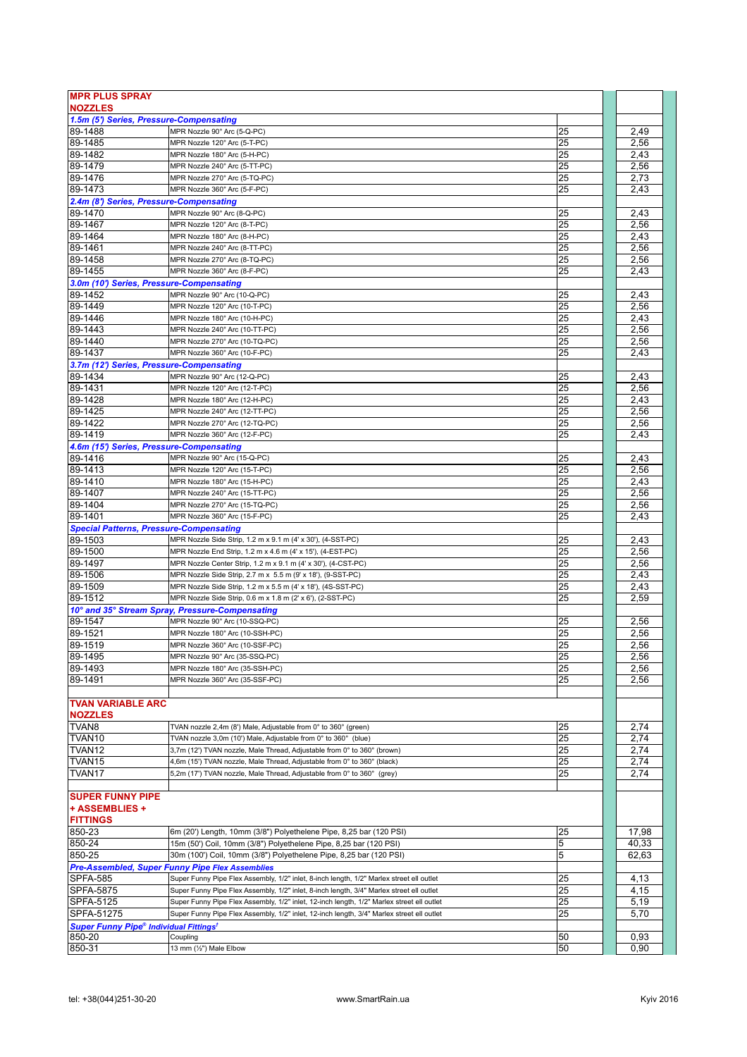| <b>MPR PLUS SPRAY</b>                                    |                                                                                           |    |       |
|----------------------------------------------------------|-------------------------------------------------------------------------------------------|----|-------|
| <b>NOZZLES</b>                                           |                                                                                           |    |       |
| 1.5m (5') Series, Pressure-Compensating                  |                                                                                           |    |       |
| 89-1488                                                  | MPR Nozzle 90° Arc (5-Q-PC)                                                               | 25 | 2,49  |
| 89-1485                                                  | MPR Nozzle 120° Arc (5-T-PC)                                                              | 25 | 2,56  |
| 89-1482                                                  | MPR Nozzle 180° Arc (5-H-PC)                                                              | 25 | 2,43  |
| 89-1479                                                  | MPR Nozzle 240° Arc (5-TT-PC)                                                             | 25 | 2,56  |
| 89-1476                                                  | MPR Nozzle 270° Arc (5-TQ-PC)                                                             | 25 | 2,73  |
| 89-1473                                                  | MPR Nozzle 360° Arc (5-F-PC)                                                              | 25 | 2,43  |
| 2.4m (8') Series, Pressure-Compensating                  |                                                                                           |    |       |
| 89-1470                                                  | MPR Nozzle 90° Arc (8-Q-PC)                                                               | 25 | 2,43  |
| 89-1467                                                  | MPR Nozzle 120° Arc (8-T-PC)                                                              | 25 | 2,56  |
| 89-1464                                                  | MPR Nozzle 180° Arc (8-H-PC)                                                              | 25 | 2,43  |
| 89-1461                                                  | MPR Nozzle 240° Arc (8-TT-PC)                                                             | 25 | 2,56  |
| 89-1458                                                  | MPR Nozzle 270° Arc (8-TQ-PC)                                                             | 25 | 2.56  |
| 89-1455                                                  | MPR Nozzle 360° Arc (8-F-PC)                                                              | 25 | 2,43  |
| 3.0m (10') Series, Pressure-Compensating                 |                                                                                           |    |       |
| 89-1452                                                  | MPR Nozzle 90° Arc (10-Q-PC)                                                              | 25 | 2,43  |
| 89-1449                                                  | MPR Nozzle 120° Arc (10-T-PC)                                                             | 25 | 2,56  |
| 89-1446                                                  | MPR Nozzle 180° Arc (10-H-PC)                                                             | 25 | 2,43  |
| 89-1443                                                  | MPR Nozzle 240° Arc (10-TT-PC)                                                            | 25 | 2,56  |
| 89-1440                                                  | MPR Nozzle 270° Arc (10-TQ-PC)                                                            | 25 | 2,56  |
| 89-1437                                                  | MPR Nozzle 360° Arc (10-F-PC)                                                             | 25 | 2,43  |
| 3.7m (12') Series, Pressure-Compensating                 |                                                                                           |    |       |
| 89-1434                                                  | MPR Nozzle 90° Arc (12-Q-PC)                                                              | 25 | 2,43  |
| 89-1431                                                  | MPR Nozzle 120° Arc (12-T-PC)                                                             | 25 | 2,56  |
| 89-1428                                                  | MPR Nozzle 180° Arc (12-H-PC)                                                             | 25 | 2,43  |
| 89-1425                                                  | MPR Nozzle 240° Arc (12-TT-PC)                                                            | 25 | 2,56  |
| 89-1422                                                  | MPR Nozzle 270° Arc (12-TQ-PC)                                                            | 25 | 2,56  |
| 89-1419                                                  | MPR Nozzle 360° Arc (12-F-PC)                                                             | 25 | 2,43  |
| 4.6m (15') Series, Pressure-Compensating                 |                                                                                           |    |       |
| 89-1416                                                  | MPR Nozzle 90° Arc (15-Q-PC)                                                              | 25 | 2,43  |
| 89-1413                                                  | MPR Nozzle 120° Arc (15-T-PC)                                                             | 25 | 2,56  |
| 89-1410                                                  | MPR Nozzle 180° Arc (15-H-PC)                                                             | 25 | 2,43  |
| 89-1407                                                  | MPR Nozzle 240° Arc (15-TT-PC)                                                            | 25 | 2,56  |
| 89-1404                                                  | MPR Nozzle 270° Arc (15-TQ-PC)                                                            | 25 | 2,56  |
| 89-1401                                                  | MPR Nozzle 360° Arc (15-F-PC)                                                             | 25 | 2,43  |
| <b>Special Patterns, Pressure-Compensating</b>           |                                                                                           |    |       |
| 89-1503                                                  | MPR Nozzle Side Strip, 1.2 m x 9.1 m (4' x 30'), (4-SST-PC)                               | 25 | 2,43  |
| 89-1500                                                  | MPR Nozzle End Strip, 1.2 m x 4.6 m (4' x 15'), (4-EST-PC)                                | 25 | 2,56  |
| 89-1497                                                  | MPR Nozzle Center Strip, 1.2 m x 9.1 m (4' x 30'), (4-CST-PC)                             | 25 | 2,56  |
| 89-1506                                                  | MPR Nozzle Side Strip, 2.7 m x 5.5 m (9' x 18'), (9-SST-PC)                               | 25 | 2,43  |
| 89-1509                                                  | MPR Nozzle Side Strip, 1.2 m x 5.5 m (4' x 18'), (4S-SST-PC)                              | 25 | 2,43  |
| 89-1512                                                  | MPR Nozzle Side Strip, 0.6 m x 1.8 m (2' x 6'), (2-SST-PC)                                | 25 | 2,59  |
|                                                          | 10° and 35° Stream Spray, Pressure-Compensating                                           |    |       |
| 89-1547                                                  | MPR Nozzle 90° Arc (10-SSQ-PC)                                                            | 25 | 2,56  |
| 89-1521                                                  | MPR Nozzle 180° Arc (10-SSH-PC)                                                           | 25 | 2,56  |
| 89-1519                                                  | MPR Nozzle 360° Arc (10-SSF-PC)                                                           | 25 | 2,56  |
| 89-1495                                                  | MPR Nozzle 90° Arc (35-SSQ-PC)                                                            | 25 | 2,56  |
| 89-1493                                                  | MPR Nozzle 180° Arc (35-SSH-PC)                                                           | 25 | 2,56  |
| 89-1491                                                  | MPR Nozzle 360° Arc (35-SSF-PC)                                                           | 25 | 2,56  |
|                                                          |                                                                                           |    |       |
| <b>TVAN VARIABLE ARC</b><br><b>NOZZLES</b>               |                                                                                           |    |       |
| TVAN <sub>8</sub>                                        | TVAN nozzle 2,4m (8') Male, Adjustable from 0° to 360° (green)                            | 25 | 2,74  |
| TVAN <sub>10</sub>                                       | TVAN nozzle 3,0m (10') Male, Adjustable from 0° to 360° (blue)                            | 25 | 2,74  |
| TVAN <sub>12</sub>                                       | 3,7m (12') TVAN nozzle, Male Thread, Adjustable from 0° to 360° (brown)                   | 25 | 2,74  |
| TVAN <sub>15</sub>                                       | 4,6m (15') TVAN nozzle, Male Thread, Adjustable from 0° to 360° (black)                   | 25 | 2,74  |
| TVAN17                                                   | 5,2m (17') TVAN nozzle, Male Thread, Adjustable from 0° to 360° (grey)                    | 25 | 2,74  |
|                                                          |                                                                                           |    |       |
| <b>SUPER FUNNY PIPE</b>                                  |                                                                                           |    |       |
| + ASSEMBLIES +                                           |                                                                                           |    |       |
| <b>FITTINGS</b>                                          |                                                                                           |    |       |
| 850-23                                                   | 6m (20') Length, 10mm (3/8") Polyethelene Pipe, 8,25 bar (120 PSI)                        | 25 | 17,98 |
| 850-24                                                   | 15m (50') Coil, 10mm (3/8") Polyethelene Pipe, 8,25 bar (120 PSI)                         | 5  | 40,33 |
| 850-25                                                   | 30m (100') Coil, 10mm (3/8") Polyethelene Pipe, 8,25 bar (120 PSI)                        | 5  | 62,63 |
|                                                          | <b>Pre-Assembled, Super Funny Pipe Flex Assemblies</b>                                    |    |       |
| <b>SPFA-585</b>                                          | Super Funny Pipe Flex Assembly, 1/2" inlet, 8-inch length, 1/2" Marlex street ell outlet  | 25 | 4,13  |
| <b>SPFA-5875</b>                                         | Super Funny Pipe Flex Assembly, 1/2" inlet, 8-inch length, 3/4" Marlex street ell outlet  | 25 | 4,15  |
| <b>SPFA-5125</b>                                         | Super Funny Pipe Flex Assembly, 1/2" inlet, 12-inch length, 1/2" Marlex street ell outlet | 25 | 5,19  |
| SPFA-51275                                               | Super Funny Pipe Flex Assembly, 1/2" inlet, 12-inch length, 3/4" Marlex street ell outlet | 25 | 5,70  |
| <b>Super Funny Pipe® Individual Fittings<sup>†</sup></b> |                                                                                           |    |       |
| 850-20                                                   | Coupling                                                                                  | 50 | 0,93  |
| 850-31                                                   | 13 mm (1/2") Male Elbow                                                                   | 50 | 0,90  |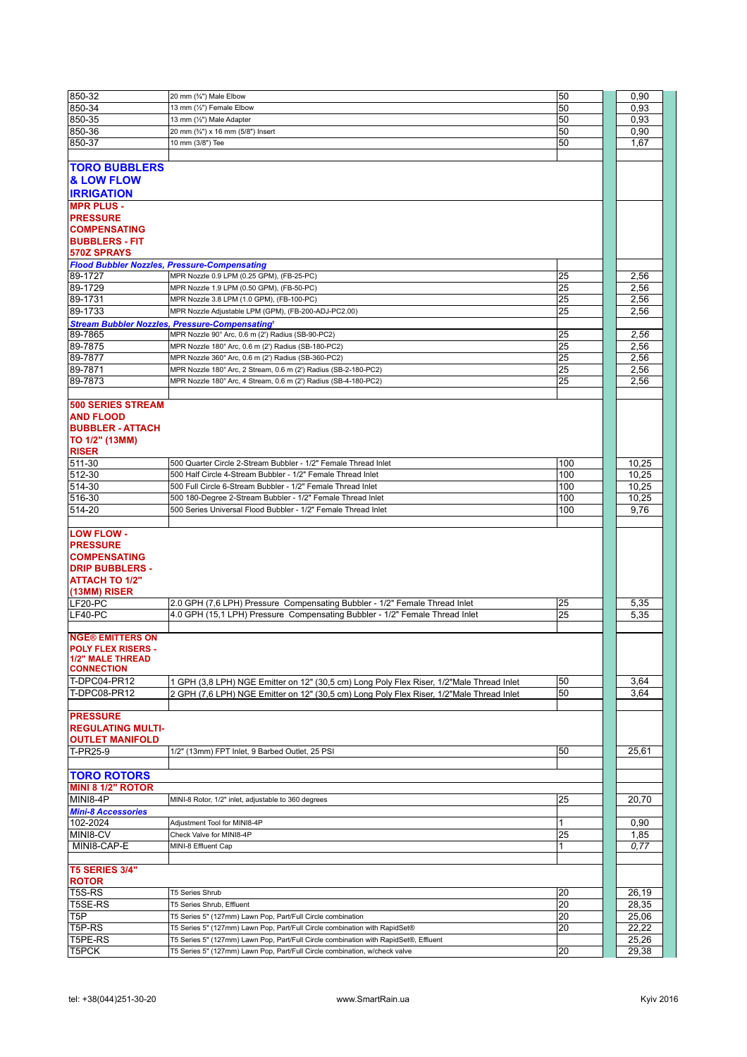| 850-32                                                                          | 20 mm (%") Male Elbow                                                                                                                                              | 50              | 0,90           |
|---------------------------------------------------------------------------------|--------------------------------------------------------------------------------------------------------------------------------------------------------------------|-----------------|----------------|
| 850-34                                                                          | 13 mm (1/2") Female Elbow                                                                                                                                          | 50              | 0,93           |
| 850-35                                                                          | 13 mm (1/2") Male Adapter                                                                                                                                          | 50              | 0,93           |
| 850-36                                                                          |                                                                                                                                                                    | 50              |                |
|                                                                                 | 20 mm (3/4") x 16 mm (5/8") Insert                                                                                                                                 |                 | 0,90           |
| 850-37                                                                          | 10 mm (3/8") Tee                                                                                                                                                   | 50              | 1,67           |
|                                                                                 |                                                                                                                                                                    |                 |                |
| <b>TORO BUBBLERS</b><br><b>&amp; LOW FLOW</b>                                   |                                                                                                                                                                    |                 |                |
| <b>IRRIGATION</b>                                                               |                                                                                                                                                                    |                 |                |
| <b>MPR PLUS -</b>                                                               |                                                                                                                                                                    |                 |                |
| <b>PRESSURE</b>                                                                 |                                                                                                                                                                    |                 |                |
| <b>COMPENSATING</b>                                                             |                                                                                                                                                                    |                 |                |
| <b>BUBBLERS - FIT</b>                                                           |                                                                                                                                                                    |                 |                |
|                                                                                 |                                                                                                                                                                    |                 |                |
| 570Z SPRAYS                                                                     |                                                                                                                                                                    |                 |                |
| <b>Flood Bubbler Nozzles, Pressure-Compensating</b>                             |                                                                                                                                                                    |                 |                |
| 89-1727                                                                         | MPR Nozzle 0.9 LPM (0.25 GPM), (FB-25-PC)                                                                                                                          | 25              | 2,56           |
| 89-1729                                                                         | MPR Nozzle 1.9 LPM (0.50 GPM), (FB-50-PC)                                                                                                                          | 25              | 2,56           |
| 89-1731                                                                         | MPR Nozzle 3.8 LPM (1.0 GPM), (FB-100-PC)                                                                                                                          | 25              | 2,56           |
| 89-1733                                                                         | MPR Nozzle Adjustable LPM (GPM), (FB-200-ADJ-PC2.00)                                                                                                               | 25              | 2,56           |
|                                                                                 | <b>Stream Bubbler Nozzles, Pressure-Compensatingt</b>                                                                                                              |                 |                |
|                                                                                 |                                                                                                                                                                    | 25              |                |
| 89-7865                                                                         | MPR Nozzle 90° Arc, 0.6 m (2') Radius (SB-90-PC2)                                                                                                                  |                 | 2,56           |
| 89-7875                                                                         | MPR Nozzle 180° Arc, 0.6 m (2') Radius (SB-180-PC2)                                                                                                                | 25              | 2,56           |
| 89-7877                                                                         | MPR Nozzle 360° Arc, 0.6 m (2') Radius (SB-360-PC2)                                                                                                                | 25              | 2,56           |
| 89-7871                                                                         | MPR Nozzle 180° Arc, 2 Stream, 0.6 m (2') Radius (SB-2-180-PC2)                                                                                                    | 25              | 2,56           |
| 89-7873                                                                         | MPR Nozzle 180° Arc, 4 Stream, 0.6 m (2') Radius (SB-4-180-PC2)                                                                                                    | 25              | 2,56           |
|                                                                                 |                                                                                                                                                                    |                 |                |
| <b>500 SERIES STREAM</b>                                                        |                                                                                                                                                                    |                 |                |
|                                                                                 |                                                                                                                                                                    |                 |                |
| <b>AND FLOOD</b>                                                                |                                                                                                                                                                    |                 |                |
| <b>BUBBLER - ATTACH</b>                                                         |                                                                                                                                                                    |                 |                |
| TO 1/2" (13MM)                                                                  |                                                                                                                                                                    |                 |                |
| <b>RISER</b>                                                                    |                                                                                                                                                                    |                 |                |
| 511-30                                                                          | 500 Quarter Circle 2-Stream Bubbler - 1/2" Female Thread Inlet                                                                                                     | 100             | 10,25          |
| 512-30                                                                          | 500 Half Circle 4-Stream Bubbler - 1/2" Female Thread Inlet                                                                                                        | 100             | 10,25          |
| 514-30                                                                          | 500 Full Circle 6-Stream Bubbler - 1/2" Female Thread Inlet                                                                                                        | 100             | 10,25          |
|                                                                                 |                                                                                                                                                                    |                 |                |
| 516-30                                                                          | 500 180-Degree 2-Stream Bubbler - 1/2" Female Thread Inlet                                                                                                         | 100             | 10,25          |
| 514-20                                                                          | 500 Series Universal Flood Bubbler - 1/2" Female Thread Inlet                                                                                                      | 100             | 9,76           |
|                                                                                 |                                                                                                                                                                    |                 |                |
| <b>LOW FLOW -</b><br><b>PRESSURE</b><br><b>COMPENSATING</b>                     |                                                                                                                                                                    |                 |                |
| <b>DRIP BUBBLERS -</b>                                                          |                                                                                                                                                                    |                 |                |
| <b>ATTACH TO 1/2"</b>                                                           |                                                                                                                                                                    |                 |                |
| (13MM) RISER                                                                    |                                                                                                                                                                    |                 |                |
| LF20-PC                                                                         | 2.0 GPH (7,6 LPH) Pressure Compensating Bubbler - 1/2" Female Thread Inlet                                                                                         | 25              | 5,35           |
|                                                                                 |                                                                                                                                                                    |                 |                |
| LF40-PC                                                                         | 4.0 GPH (15,1 LPH) Pressure Compensating Bubbler - 1/2" Female Thread Inlet                                                                                        | 25              | 5,35           |
|                                                                                 |                                                                                                                                                                    |                 |                |
| <b>NGE® EMITTERS ON</b><br><b>POLY FLEX RISERS -</b><br><b>1/2" MALE THREAD</b> |                                                                                                                                                                    |                 |                |
| <b>CONNECTION</b>                                                               |                                                                                                                                                                    |                 |                |
|                                                                                 |                                                                                                                                                                    |                 |                |
|                                                                                 |                                                                                                                                                                    |                 |                |
| <b>T-DPC04-PR12</b>                                                             | 1 GPH (3,8 LPH) NGE Emitter on 12" (30,5 cm) Long Poly Flex Riser, 1/2"Male Thread Inlet                                                                           | 50              | 3,64           |
| T-DPC08-PR12                                                                    | 2 GPH (7,6 LPH) NGE Emitter on 12" (30,5 cm) Long Poly Flex Riser, 1/2"Male Thread Inlet                                                                           | 50              | 3,64           |
|                                                                                 |                                                                                                                                                                    |                 |                |
| <b>PRESSURE</b><br><b>REGULATING MULTI-</b>                                     |                                                                                                                                                                    |                 |                |
| <b>OUTLET MANIFOLD</b>                                                          |                                                                                                                                                                    |                 |                |
| T-PR25-9                                                                        | 1/2" (13mm) FPT Inlet, 9 Barbed Outlet, 25 PSI                                                                                                                     | 50              | 25,61          |
|                                                                                 |                                                                                                                                                                    |                 |                |
| <b>TORO ROTORS</b>                                                              |                                                                                                                                                                    |                 |                |
| <b>MINI 8 1/2" ROTOR</b>                                                        |                                                                                                                                                                    |                 |                |
| MINI8-4P                                                                        | MINI-8 Rotor, 1/2" inlet, adjustable to 360 degrees                                                                                                                | 25              | 20,70          |
|                                                                                 |                                                                                                                                                                    |                 |                |
| <b>Mini-8 Accessories</b>                                                       |                                                                                                                                                                    |                 |                |
| 102-2024                                                                        | Adjustment Tool for MINI8-4P                                                                                                                                       | 1               | 0,90           |
| MINI8-CV                                                                        | Check Valve for MINI8-4P                                                                                                                                           | 25              | 1,85           |
| MINI8-CAP-E                                                                     | MINI-8 Effluent Cap                                                                                                                                                |                 | 0,77           |
|                                                                                 |                                                                                                                                                                    |                 |                |
| <b>T5 SERIES 3/4"</b>                                                           |                                                                                                                                                                    |                 |                |
| <b>ROTOR</b>                                                                    |                                                                                                                                                                    |                 |                |
|                                                                                 |                                                                                                                                                                    |                 |                |
| T5S-RS                                                                          | T5 Series Shrub                                                                                                                                                    | 20              | 26,19          |
| T5SE-RS                                                                         | T5 Series Shrub, Effluent                                                                                                                                          | 20              | 28,35          |
| T5P                                                                             | T5 Series 5" (127mm) Lawn Pop, Part/Full Circle combination                                                                                                        | $\overline{20}$ | 25,06          |
| T5P-RS                                                                          | T5 Series 5" (127mm) Lawn Pop, Part/Full Circle combination with RapidSet®                                                                                         | 20              | 22,22          |
| T5PE-RS<br>T5PCK                                                                | T5 Series 5" (127mm) Lawn Pop, Part/Full Circle combination with RapidSet®, Effluent<br>T5 Series 5" (127mm) Lawn Pop, Part/Full Circle combination, w/check valve | 20              | 25,26<br>29,38 |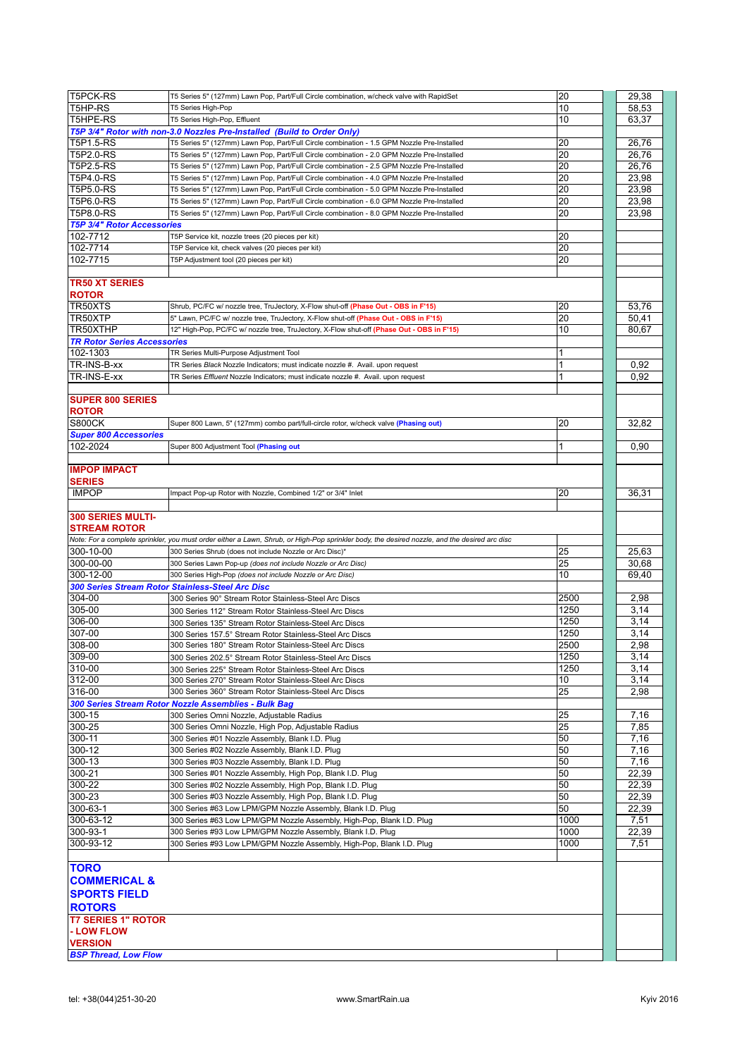| T5PCK-RS                           | T5 Series 5" (127mm) Lawn Pop, Part/Full Circle combination, w/check valve with RapidSet                                                      | 20   | 29,38 |
|------------------------------------|-----------------------------------------------------------------------------------------------------------------------------------------------|------|-------|
| T5HP-RS                            | T5 Series High-Pop                                                                                                                            | 10   | 58,53 |
| T5HPE-RS                           | T5 Series High-Pop, Effluent                                                                                                                  | 10   | 63,37 |
|                                    | T5P 3/4" Rotor with non-3.0 Nozzles Pre-Installed (Build to Order Only)                                                                       |      |       |
| T5P1.5-RS                          | T5 Series 5" (127mm) Lawn Pop, Part/Full Circle combination - 1.5 GPM Nozzle Pre-Installed                                                    | 20   | 26,76 |
| T5P2.0-RS                          | T5 Series 5" (127mm) Lawn Pop, Part/Full Circle combination - 2.0 GPM Nozzle Pre-Installed                                                    | 20   | 26,76 |
| T5P2.5-RS                          | T5 Series 5" (127mm) Lawn Pop, Part/Full Circle combination - 2.5 GPM Nozzle Pre-Installed                                                    | 20   | 26,76 |
| T5P4.0-RS                          | T5 Series 5" (127mm) Lawn Pop, Part/Full Circle combination - 4.0 GPM Nozzle Pre-Installed                                                    | 20   | 23,98 |
| T5P5.0-RS                          | T5 Series 5" (127mm) Lawn Pop, Part/Full Circle combination - 5.0 GPM Nozzle Pre-Installed                                                    | 20   | 23,98 |
| T5P6.0-RS                          | T5 Series 5" (127mm) Lawn Pop, Part/Full Circle combination - 6.0 GPM Nozzle Pre-Installed                                                    | 20   | 23,98 |
|                                    |                                                                                                                                               | 20   |       |
| T5P8.0-RS                          | T5 Series 5" (127mm) Lawn Pop, Part/Full Circle combination - 8.0 GPM Nozzle Pre-Installed                                                    |      | 23,98 |
| <b>T5P 3/4" Rotor Accessories</b>  |                                                                                                                                               |      |       |
| 102-7712                           | T5P Service kit, nozzle trees (20 pieces per kit)                                                                                             | 20   |       |
| 102-7714                           | T5P Service kit, check valves (20 pieces per kit)                                                                                             | 20   |       |
| 102-7715                           | T5P Adiustment tool (20 pieces per kit)                                                                                                       | 20   |       |
|                                    |                                                                                                                                               |      |       |
| <b>TR50 XT SERIES</b>              |                                                                                                                                               |      |       |
| <b>ROTOR</b>                       |                                                                                                                                               |      |       |
| TR50XTS                            | Shrub, PC/FC w/ nozzle tree, TruJectory, X-Flow shut-off (Phase Out - OBS in F'15)                                                            | 20   | 53,76 |
| TR50XTP                            | 5" Lawn, PC/FC w/ nozzle tree, TruJectory, X-Flow shut-off (Phase Out - OBS in F'15)                                                          | 20   | 50.41 |
| TR50XTHP                           | 12" High-Pop, PC/FC w/ nozzle tree, TruJectory, X-Flow shut-off (Phase Out - OBS in F'15)                                                     | 10   | 80,67 |
| <b>TR Rotor Series Accessories</b> |                                                                                                                                               |      |       |
| 102-1303                           | TR Series Multi-Purpose Adjustment Tool                                                                                                       |      |       |
| TR-INS-B-xx                        | TR Series Black Nozzle Indicators; must indicate nozzle #. Avail. upon request                                                                | 1    | 0,92  |
| TR-INS-E-xx                        | TR Series Effluent Nozzle Indicators; must indicate nozzle #. Avail. upon request                                                             | 1    | 0,92  |
|                                    |                                                                                                                                               |      |       |
|                                    |                                                                                                                                               |      |       |
| <b>SUPER 800 SERIES</b>            |                                                                                                                                               |      |       |
| <b>ROTOR</b>                       |                                                                                                                                               |      |       |
| <b>S800CK</b>                      | Super 800 Lawn, 5" (127mm) combo part/full-circle rotor, w/check valve (Phasing out)                                                          | 20   | 32,82 |
| <b>Super 800 Accessories</b>       |                                                                                                                                               |      |       |
| 102-2024                           | Super 800 Adjustment Tool (Phasing out                                                                                                        |      | 0,90  |
|                                    |                                                                                                                                               |      |       |
| <b>IMPOP IMPACT</b>                |                                                                                                                                               |      |       |
| <b>SERIES</b>                      |                                                                                                                                               |      |       |
| <b>IMPOP</b>                       | Impact Pop-up Rotor with Nozzle, Combined 1/2" or 3/4" Inlet                                                                                  | 20   | 36,31 |
|                                    |                                                                                                                                               |      |       |
| 300 SERIES MULTI-                  |                                                                                                                                               |      |       |
| <b>STREAM ROTOR</b>                |                                                                                                                                               |      |       |
|                                    | Note: For a complete sprinkler, you must order either a Lawn, Shrub, or High-Pop sprinkler body, the desired nozzle, and the desired arc disc |      |       |
| 300-10-00                          | 300 Series Shrub (does not include Nozzle or Arc Disc)*                                                                                       | 25   | 25,63 |
| 300-00-00                          | 300 Series Lawn Pop-up (does not include Nozzle or Arc Disc)                                                                                  | 25   | 30,68 |
| 300-12-00                          | 300 Series High-Pop (does not include Nozzle or Arc Disc)                                                                                     | 10   | 69,40 |
|                                    |                                                                                                                                               |      |       |
|                                    | 300 Series Stream Rotor Stainless-Steel Arc Disc                                                                                              |      |       |
| 304-00                             | 300 Series 90° Stream Rotor Stainless-Steel Arc Discs                                                                                         | 2500 | 2,98  |
| 305-00                             | 300 Series 112° Stream Rotor Stainless-Steel Arc Discs                                                                                        | 1250 | 3,14  |
| 306-00                             | 300 Series 135° Stream Rotor Stainless-Steel Arc Discs                                                                                        | 1250 | 3,14  |
| 307-00                             | 300 Series 157.5° Stream Rotor Stainless-Steel Arc Discs                                                                                      | 1250 | 3,14  |
| 308-00                             | 300 Series 180° Stream Rotor Stainless-Steel Arc Discs                                                                                        | 2500 | 2,98  |
| 309-00                             | 300 Series 202.5° Stream Rotor Stainless-Steel Arc Discs                                                                                      | 1250 | 3,14  |
| 310-00                             | 300 Series 225° Stream Rotor Stainless-Steel Arc Discs                                                                                        | 1250 | 3,14  |
| 312-00                             | 300 Series 270° Stream Rotor Stainless-Steel Arc Discs                                                                                        | 10   | 3,14  |
| 316-00                             | 300 Series 360° Stream Rotor Stainless-Steel Arc Discs                                                                                        | 25   | 2,98  |
|                                    | 300 Series Stream Rotor Nozzle Assemblies - Bulk Bag                                                                                          |      |       |
| 300-15                             | 300 Series Omni Nozzle, Adjustable Radius                                                                                                     | 25   | 7,16  |
| 300-25                             | 300 Series Omni Nozzle, High Pop, Adjustable Radius                                                                                           | 25   | 7,85  |
| 300-11                             | 300 Series #01 Nozzle Assembly, Blank I.D. Plug                                                                                               | 50   | 7,16  |
| 300-12                             |                                                                                                                                               | 50   |       |
|                                    | 300 Series #02 Nozzle Assembly, Blank I.D. Plug                                                                                               |      | 7,16  |
| 300-13                             | 300 Series #03 Nozzle Assembly, Blank I.D. Plug                                                                                               | 50   | 7,16  |
| 300-21                             | 300 Series #01 Nozzle Assembly, High Pop, Blank I.D. Plug                                                                                     | 50   | 22,39 |
| 300-22                             | 300 Series #02 Nozzle Assembly, High Pop, Blank I.D. Plug                                                                                     | 50   | 22,39 |
| 300-23                             | 300 Series #03 Nozzle Assembly, High Pop, Blank I.D. Plug                                                                                     | 50   | 22,39 |
| 300-63-1                           | 300 Series #63 Low LPM/GPM Nozzle Assembly, Blank I.D. Plug                                                                                   | 50   | 22,39 |
| 300-63-12                          | 300 Series #63 Low LPM/GPM Nozzle Assembly, High-Pop, Blank I.D. Plug                                                                         | 1000 | 7,51  |
| 300-93-1                           | 300 Series #93 Low LPM/GPM Nozzle Assembly, Blank I.D. Plug                                                                                   | 1000 | 22,39 |
| 300-93-12                          | 300 Series #93 Low LPM/GPM Nozzle Assembly, High-Pop, Blank I.D. Plug                                                                         | 1000 | 7,51  |
|                                    |                                                                                                                                               |      |       |
| <b>TORO</b>                        |                                                                                                                                               |      |       |
|                                    |                                                                                                                                               |      |       |
| <b>COMMERICAL &amp;</b>            |                                                                                                                                               |      |       |
| <b>SPORTS FIELD</b>                |                                                                                                                                               |      |       |
| <b>ROTORS</b>                      |                                                                                                                                               |      |       |
| <b>T7 SERIES 1" ROTOR</b>          |                                                                                                                                               |      |       |
| - LOW FLOW                         |                                                                                                                                               |      |       |
| <b>VERSION</b>                     |                                                                                                                                               |      |       |
| <b>BSP Thread, Low Flow</b>        |                                                                                                                                               |      |       |
|                                    |                                                                                                                                               |      |       |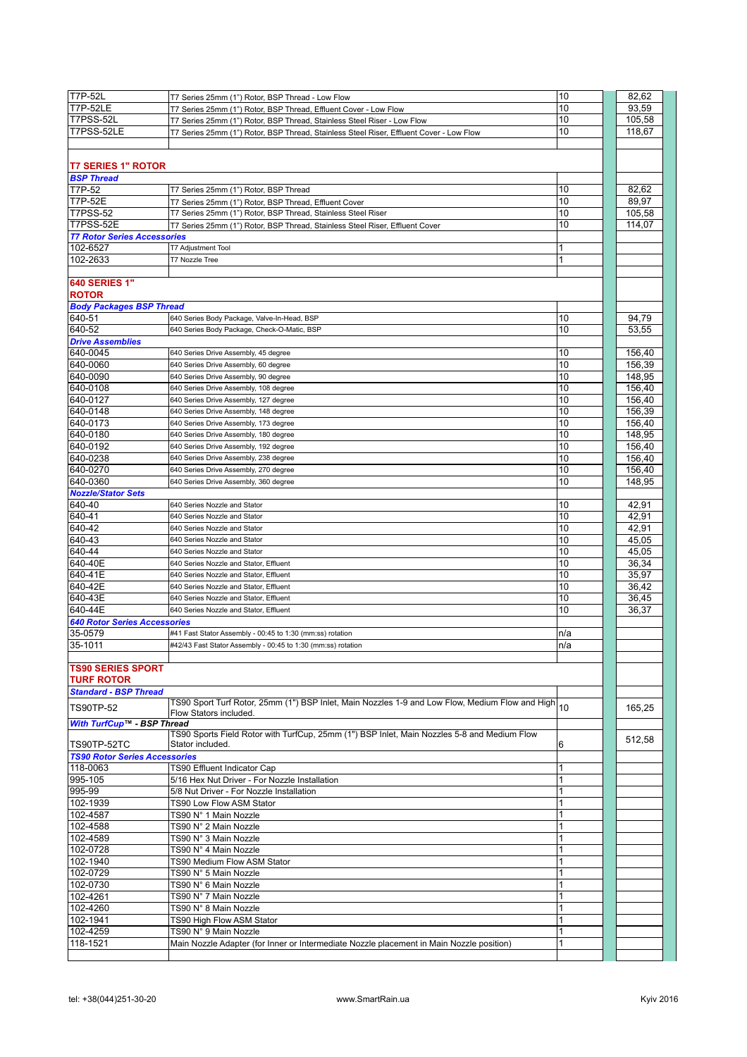| <b>T7P-52L</b>                       | T7 Series 25mm (1") Rotor, BSP Thread - Low Flow                                                   | 10  | 82,62  |
|--------------------------------------|----------------------------------------------------------------------------------------------------|-----|--------|
| <b>T7P-52LE</b>                      | T7 Series 25mm (1") Rotor, BSP Thread, Effluent Cover - Low Flow                                   | 10  | 93,59  |
| T7PSS-52L                            |                                                                                                    | 10  | 105,58 |
|                                      | T7 Series 25mm (1") Rotor, BSP Thread, Stainless Steel Riser - Low Flow                            |     |        |
| T7PSS-52LE                           | T7 Series 25mm (1") Rotor, BSP Thread, Stainless Steel Riser, Effluent Cover - Low Flow            | 10  | 118.67 |
|                                      |                                                                                                    |     |        |
|                                      |                                                                                                    |     |        |
| <b>T7 SERIES 1" ROTOR</b>            |                                                                                                    |     |        |
| <b>BSP Thread</b>                    |                                                                                                    |     |        |
| T7P-52                               | T7 Series 25mm (1") Rotor, BSP Thread                                                              | 10  | 82,62  |
| <b>T7P-52E</b>                       |                                                                                                    | 10  | 89,97  |
|                                      | T7 Series 25mm (1") Rotor, BSP Thread, Effluent Cover                                              |     |        |
| T7PSS-52                             | T7 Series 25mm (1") Rotor, BSP Thread, Stainless Steel Riser                                       | 10  | 105,58 |
| T7PSS-52E                            | T7 Series 25mm (1") Rotor, BSP Thread, Stainless Steel Riser, Effluent Cover                       | 10  | 114,07 |
| <b>T7 Rotor Series Accessories</b>   |                                                                                                    |     |        |
| 102-6527                             | T7 Adjustment Tool                                                                                 |     |        |
| 102-2633                             | T7 Nozzle Tree                                                                                     | 1   |        |
|                                      |                                                                                                    |     |        |
|                                      |                                                                                                    |     |        |
| 640 SERIES 1"                        |                                                                                                    |     |        |
| <b>ROTOR</b>                         |                                                                                                    |     |        |
| <b>Body Packages BSP Thread</b>      |                                                                                                    |     |        |
| 640-51                               | 640 Series Body Package, Valve-In-Head, BSP                                                        | 10  | 94,79  |
| 640-52                               | 640 Series Body Package, Check-O-Matic, BSP                                                        | 10  | 53,55  |
| <b>Drive Assemblies</b>              |                                                                                                    |     |        |
|                                      |                                                                                                    |     |        |
| 640-0045                             | 640 Series Drive Assembly, 45 degree                                                               | 10  | 156,40 |
| 640-0060                             | 640 Series Drive Assembly, 60 degree                                                               | 10  | 156,39 |
| 640-0090                             | 640 Series Drive Assembly, 90 degree                                                               | 10  | 148,95 |
| 640-0108                             | 640 Series Drive Assembly, 108 degree                                                              | 10  | 156,40 |
| 640-0127                             | 640 Series Drive Assembly, 127 degree                                                              | 10  | 156,40 |
| 640-0148                             | 640 Series Drive Assembly, 148 degree                                                              | 10  | 156,39 |
|                                      |                                                                                                    |     |        |
| 640-0173                             | 640 Series Drive Assembly, 173 degree                                                              | 10  | 156,40 |
| 640-0180                             | 640 Series Drive Assembly, 180 degree                                                              | 10  | 148,95 |
| 640-0192                             | 640 Series Drive Assembly, 192 degree                                                              | 10  | 156,40 |
| 640-0238                             | 640 Series Drive Assembly, 238 degree                                                              | 10  | 156,40 |
| 640-0270                             | 640 Series Drive Assembly, 270 degree                                                              | 10  | 156,40 |
| 640-0360                             | 640 Series Drive Assembly, 360 degree                                                              | 10  | 148,95 |
|                                      |                                                                                                    |     |        |
| <b>Nozzle/Stator Sets</b>            |                                                                                                    |     |        |
| 640-40                               | 640 Series Nozzle and Stator                                                                       | 10  | 42,91  |
| 640-41                               | 640 Series Nozzle and Stator                                                                       | 10  | 42,91  |
| 640-42                               | 640 Series Nozzle and Stator                                                                       | 10  | 42,91  |
| 640-43                               | 640 Series Nozzle and Stator                                                                       | 10  | 45,05  |
| 640-44                               | 640 Series Nozzle and Stator                                                                       | 10  | 45,05  |
|                                      |                                                                                                    |     |        |
| 640-40E                              | 640 Series Nozzle and Stator, Effluent                                                             | 10  | 36,34  |
| 640-41E                              | 640 Series Nozzle and Stator, Effluent                                                             | 10  | 35,97  |
| 640-42E                              | 640 Series Nozzle and Stator, Effluent                                                             | 10  | 36,42  |
| 640-43E                              | 640 Series Nozzle and Stator, Effluent                                                             | 10  | 36,45  |
| 640-44E                              | 640 Series Nozzle and Stator, Effluent                                                             | 10  | 36,37  |
| 640 Rotor Series Accessories         |                                                                                                    |     |        |
|                                      |                                                                                                    |     |        |
| 35-0579                              | #41 Fast Stator Assembly - 00:45 to 1:30 (mm:ss) rotation                                          | n/a |        |
| 35-1011                              | #42/43 Fast Stator Assembly - 00:45 to 1:30 (mm:ss) rotation                                       | n/a |        |
|                                      |                                                                                                    |     |        |
| <b>TS90 SERIES SPORT</b>             |                                                                                                    |     |        |
| <b>TURF ROTOR</b>                    |                                                                                                    |     |        |
| <b>Standard - BSP Thread</b>         |                                                                                                    |     |        |
|                                      | TS90 Sport Turf Rotor, 25mm (1") BSP Inlet, Main Nozzles 1-9 and Low Flow, Medium Flow and High 10 |     |        |
| <b>TS90TP-52</b>                     | Flow Stators included.                                                                             |     | 165,25 |
| With TurfCup™ - BSP Thread           |                                                                                                    |     |        |
|                                      | TS90 Sports Field Rotor with TurfCup, 25mm (1") BSP Inlet, Main Nozzles 5-8 and Medium Flow        |     |        |
|                                      | Stator included.                                                                                   |     | 512,58 |
| TS90TP-52TC                          |                                                                                                    | 6   |        |
| <b>TS90 Rotor Series Accessories</b> |                                                                                                    |     |        |
| 118-0063                             | TS90 Effluent Indicator Cap                                                                        |     |        |
| 995-105                              | 5/16 Hex Nut Driver - For Nozzle Installation                                                      |     |        |
| 995-99                               | 5/8 Nut Driver - For Nozzle Installation                                                           |     |        |
| 102-1939                             | TS90 Low Flow ASM Stator                                                                           |     |        |
| 102-4587                             | TS90 N° 1 Main Nozzle                                                                              |     |        |
| 102-4588                             | TS90 N° 2 Main Nozzle                                                                              |     |        |
|                                      |                                                                                                    |     |        |
| 102-4589                             | TS90 N° 3 Main Nozzle                                                                              |     |        |
| 102-0728                             | TS90 N° 4 Main Nozzle                                                                              |     |        |
| 102-1940                             | TS90 Medium Flow ASM Stator                                                                        |     |        |
| 102-0729                             | TS90 N° 5 Main Nozzle                                                                              |     |        |
| 102-0730                             | TS90 N° 6 Main Nozzle                                                                              |     |        |
| 102-4261                             |                                                                                                    |     |        |
|                                      | TS90 N° 7 Main Nozzle                                                                              |     |        |
| 102-4260                             | TS90 N° 8 Main Nozzle                                                                              |     |        |
| 102-1941                             | TS90 High Flow ASM Stator                                                                          |     |        |
| 102-4259                             | TS90 N° 9 Main Nozzle                                                                              |     |        |
| 118-1521                             | Main Nozzle Adapter (for Inner or Intermediate Nozzle placement in Main Nozzle position)           |     |        |
|                                      |                                                                                                    |     |        |
|                                      |                                                                                                    |     |        |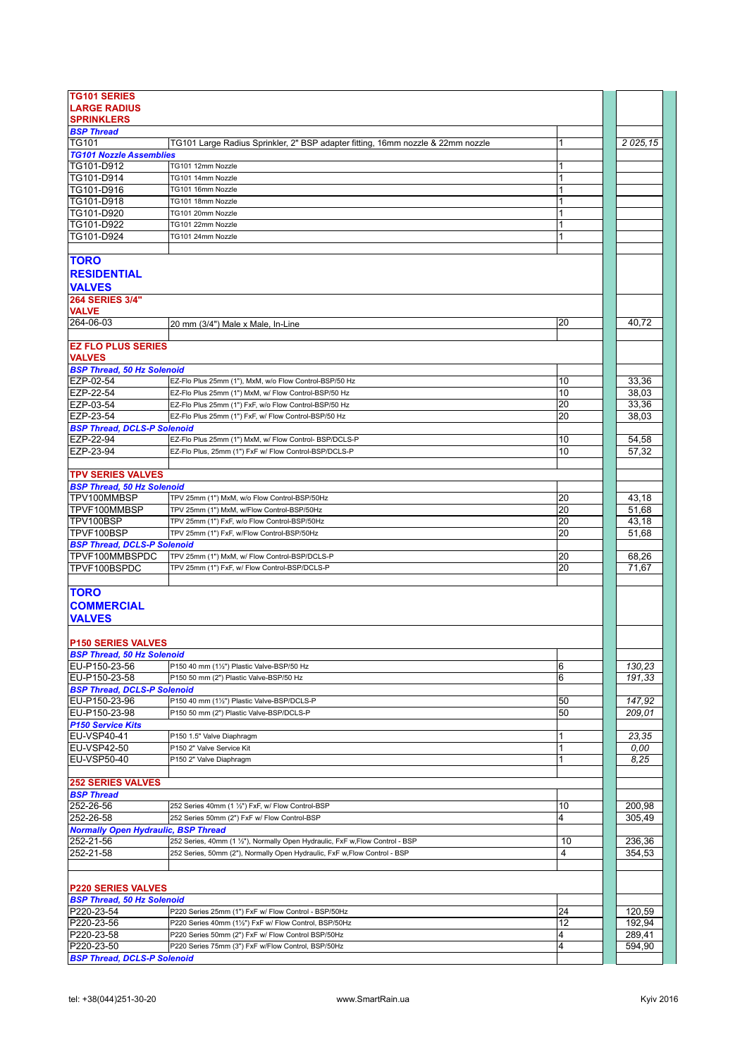| <b>TG101 SERIES</b>                                |                                                                                                               |          |                  |
|----------------------------------------------------|---------------------------------------------------------------------------------------------------------------|----------|------------------|
| <b>LARGE RADIUS</b>                                |                                                                                                               |          |                  |
| <b>SPRINKLERS</b>                                  |                                                                                                               |          |                  |
| <b>BSP Thread</b>                                  |                                                                                                               |          |                  |
| ITG101                                             | TG101 Large Radius Sprinkler, 2" BSP adapter fitting, 16mm nozzle & 22mm nozzle                               | 1        | 2 0 2 5 1 5      |
| <b>TG101 Nozzle Assemblies</b>                     |                                                                                                               |          |                  |
| TG101-D912<br>TG101-D914                           | TG101 12mm Nozzle<br>TG101 14mm Nozzle                                                                        |          |                  |
| TG101-D916                                         | TG101 16mm Nozzle                                                                                             |          |                  |
| TG101-D918                                         | TG101 18mm Nozzle                                                                                             | 1        |                  |
| TG101-D920                                         | TG101 20mm Nozzle                                                                                             |          |                  |
| TG101-D922                                         | TG101 22mm Nozzle                                                                                             | 1        |                  |
| TG101-D924                                         | TG101 24mm Nozzle                                                                                             | 1        |                  |
|                                                    |                                                                                                               |          |                  |
| <b>TORO</b>                                        |                                                                                                               |          |                  |
| <b>RESIDENTIAL</b>                                 |                                                                                                               |          |                  |
| <b>VALVES</b>                                      |                                                                                                               |          |                  |
| 264 SERIES 3/4"                                    |                                                                                                               |          |                  |
| <b>VALVE</b>                                       |                                                                                                               |          |                  |
| 264-06-03                                          | 20 mm (3/4") Male x Male, In-Line                                                                             | 20       | 40.72            |
|                                                    |                                                                                                               |          |                  |
| <b>EZ FLO PLUS SERIES</b>                          |                                                                                                               |          |                  |
| <b>VALVES</b>                                      |                                                                                                               |          |                  |
| <b>BSP Thread, 50 Hz Solenoid</b>                  |                                                                                                               |          |                  |
| EZP-02-54                                          | EZ-Flo Plus 25mm (1"), MxM, w/o Flow Control-BSP/50 Hz                                                        | 10       | 33,36            |
| EZP-22-54                                          | EZ-Flo Plus 25mm (1") MxM, w/ Flow Control-BSP/50 Hz                                                          | 10       | 38,03            |
| EZP-03-54<br>EZP-23-54                             | EZ-Flo Plus 25mm (1") FxF, w/o Flow Control-BSP/50 Hz<br>EZ-Flo Plus 25mm (1") FxF, w/ Flow Control-BSP/50 Hz | 20<br>20 | 33,36<br>38,03   |
| <b>BSP Thread, DCLS-P Solenoid</b>                 |                                                                                                               |          |                  |
| EZP-22-94                                          | EZ-Flo Plus 25mm (1") MxM, w/ Flow Control- BSP/DCLS-P                                                        | 10       | 54,58            |
| EZP-23-94                                          | EZ-Flo Plus, 25mm (1") FxF w/ Flow Control-BSP/DCLS-P                                                         | 10       | 57,32            |
|                                                    |                                                                                                               |          |                  |
| <b>TPV SERIES VALVES</b>                           |                                                                                                               |          |                  |
| <b>BSP Thread, 50 Hz Solenoid</b>                  |                                                                                                               |          |                  |
| TPV100MMBSP                                        | TPV 25mm (1") MxM, w/o Flow Control-BSP/50Hz                                                                  | 20       | 43,18            |
| TPVF100MMBSP                                       | TPV 25mm (1") MxM, w/Flow Control-BSP/50Hz                                                                    | 20       | 51,68            |
| TPV100BSP                                          | TPV 25mm (1") FxF, w/o Flow Control-BSP/50Hz                                                                  | 20       | 43,18            |
| TPVF100BSP                                         | TPV 25mm (1") FxF, w/Flow Control-BSP/50Hz                                                                    | 20       | 51,68            |
| <b>BSP Thread, DCLS-P Solenoid</b>                 |                                                                                                               |          |                  |
| TPVF100MMBSPDC                                     | TPV 25mm (1") MxM, w/ Flow Control-BSP/DCLS-P                                                                 | 20       | 68,26            |
| TPVF100BSPDC                                       | TPV 25mm (1") FxF, w/ Flow Control-BSP/DCLS-P                                                                 | 20       | 71,67            |
|                                                    |                                                                                                               |          |                  |
| <b>TORO</b>                                        |                                                                                                               |          |                  |
| <b>COMMERCIAL</b>                                  |                                                                                                               |          |                  |
| <b>VALVES</b>                                      |                                                                                                               |          |                  |
|                                                    |                                                                                                               |          |                  |
| <b>P150 SERIES VALVES</b>                          |                                                                                                               |          |                  |
| <b>BSP Thread, 50 Hz Solenoid</b><br>EU-P150-23-56 | P150 40 mm (11/2") Plastic Valve-BSP/50 Hz                                                                    | 6        | 130,23           |
| EU-P150-23-58                                      | P150 50 mm (2") Plastic Valve-BSP/50 Hz                                                                       | 6        | 191,33           |
| <b>BSP Thread, DCLS-P Solenoid</b>                 |                                                                                                               |          |                  |
| EU-P150-23-96                                      | P150 40 mm (11/2") Plastic Valve-BSP/DCLS-P                                                                   | 50       | 147,92           |
| EU-P150-23-98                                      | P150 50 mm (2") Plastic Valve-BSP/DCLS-P                                                                      | 50       | 209,01           |
| <b>P150 Service Kits</b>                           |                                                                                                               |          |                  |
| EU-VSP40-41                                        | P150 1.5" Valve Diaphragm                                                                                     | 1        | 23,35            |
| EU-VSP42-50                                        | P150 2" Valve Service Kit                                                                                     | 1        | 0.00             |
| <b>EU-VSP50-40</b>                                 | P150 2" Valve Diaphragm                                                                                       | 1        | 8,25             |
|                                                    |                                                                                                               |          |                  |
| <b>252 SERIES VALVES</b>                           |                                                                                                               |          |                  |
| <b>BSP Thread</b>                                  |                                                                                                               |          |                  |
| 252-26-56                                          | 252 Series 40mm (1 1/2") FxF, w/ Flow Control-BSP                                                             | 10       | 200,98           |
| 252-26-58                                          | 252 Series 50mm (2") FxF w/ Flow Control-BSP                                                                  | 4        | 305,49           |
| <b>Normally Open Hydraulic, BSP Thread</b>         | 252 Series, 40mm (1 1/2"), Normally Open Hydraulic, FxF w, Flow Control - BSP                                 | 10       |                  |
| 252-21-56<br>252-21-58                             | 252 Series, 50mm (2"), Normally Open Hydraulic, FxF w, Flow Control - BSP                                     | 4        | 236,36<br>354,53 |
|                                                    |                                                                                                               |          |                  |
|                                                    |                                                                                                               |          |                  |
| <b>P220 SERIES VALVES</b>                          |                                                                                                               |          |                  |
| <b>BSP Thread, 50 Hz Solenoid</b>                  |                                                                                                               |          |                  |
| P220-23-54                                         | P220 Series 25mm (1") FxF w/ Flow Control - BSP/50Hz                                                          | 24       | 120,59           |
| P220-23-56                                         | P220 Series 40mm (11/2") FxF w/ Flow Control, BSP/50Hz                                                        | 12       | 192,94           |
| P220-23-58                                         | P220 Series 50mm (2") FxF w/ Flow Control BSP/50Hz                                                            | 4        | 289,41           |
| P220-23-50                                         | P220 Series 75mm (3") FxF w/Flow Control, BSP/50Hz                                                            | 4        | 594,90           |
| <b>BSP Thread, DCLS-P Solenoid</b>                 |                                                                                                               |          |                  |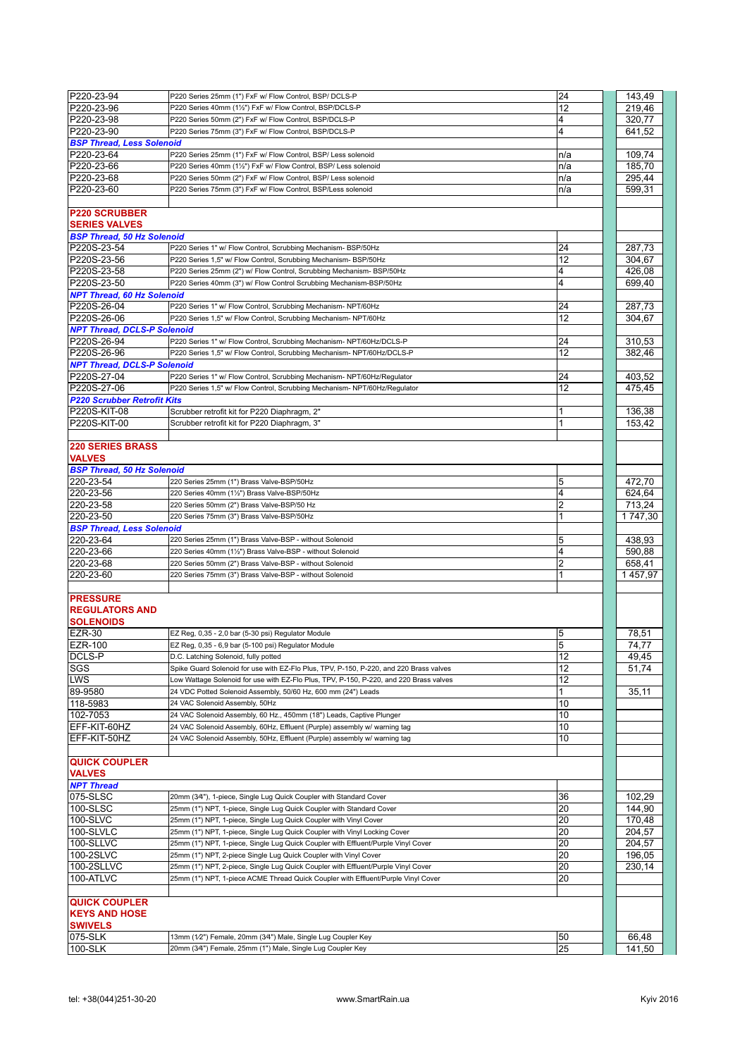| P220-23-94                         | P220 Series 25mm (1") FxF w/ Flow Control, BSP/ DCLS-P                                 | 24             | 143,49  |
|------------------------------------|----------------------------------------------------------------------------------------|----------------|---------|
| P220-23-96                         | P220 Series 40mm (11/2") FxF w/ Flow Control, BSP/DCLS-P                               | 12             | 219,46  |
| P220-23-98                         | P220 Series 50mm (2") FxF w/ Flow Control, BSP/DCLS-P                                  | 4              | 320,77  |
| P220-23-90                         | P220 Series 75mm (3") FxF w/ Flow Control, BSP/DCLS-P                                  | 4              | 641,52  |
| <b>BSP Thread, Less Solenoid</b>   |                                                                                        |                |         |
| P220-23-64                         |                                                                                        |                |         |
|                                    | P220 Series 25mm (1") FxF w/ Flow Control, BSP/ Less solenoid                          | n/a            | 109,74  |
| P220-23-66                         | P220 Series 40mm (11/2") FxF w/ Flow Control, BSP/ Less solenoid                       | n/a            | 185,70  |
| P220-23-68                         | P220 Series 50mm (2") FxF w/ Flow Control, BSP/ Less solenoid                          | n/a            | 295,44  |
| P220-23-60                         | P220 Series 75mm (3") FxF w/ Flow Control, BSP/Less solenoid                           | n/a            | 599,31  |
|                                    |                                                                                        |                |         |
| <b>P220 SCRUBBER</b>               |                                                                                        |                |         |
| <b>SERIES VALVES</b>               |                                                                                        |                |         |
| <b>BSP Thread, 50 Hz Solenoid</b>  |                                                                                        |                |         |
| P220S-23-54                        | P220 Series 1" w/ Flow Control, Scrubbing Mechanism- BSP/50Hz                          | 24             | 287,73  |
| P220S-23-56                        | P220 Series 1,5" w/ Flow Control, Scrubbing Mechanism- BSP/50Hz                        | 12             | 304.67  |
| P220S-23-58                        | P220 Series 25mm (2") w/ Flow Control, Scrubbing Mechanism- BSP/50Hz                   | 4              | 426,08  |
| P220S-23-50                        | P220 Series 40mm (3") w/ Flow Control Scrubbing Mechanism-BSP/50Hz                     | 4              | 699,40  |
| <b>NPT Thread, 60 Hz Solenoid</b>  |                                                                                        |                |         |
| P220S-26-04                        |                                                                                        | 24             |         |
|                                    | P220 Series 1" w/ Flow Control, Scrubbing Mechanism- NPT/60Hz                          |                | 287,73  |
| P220S-26-06                        | P220 Series 1,5" w/ Flow Control, Scrubbing Mechanism- NPT/60Hz                        | 12             | 304.67  |
| <b>NPT Thread, DCLS-P Solenoid</b> |                                                                                        |                |         |
| P220S-26-94                        | P220 Series 1" w/ Flow Control, Scrubbing Mechanism- NPT/60Hz/DCLS-P                   | 24             | 310,53  |
| P220S-26-96                        | P220 Series 1,5" w/ Flow Control, Scrubbing Mechanism- NPT/60Hz/DCLS-P                 | 12             | 382.46  |
| <b>NPT Thread, DCLS-P Solenoid</b> |                                                                                        |                |         |
| P220S-27-04                        | P220 Series 1" w/ Flow Control, Scrubbing Mechanism- NPT/60Hz/Regulator                | 24             | 403.52  |
| P220S-27-06                        | P220 Series 1,5" w/ Flow Control, Scrubbing Mechanism- NPT/60Hz/Regulator              | 12             | 475,45  |
| <b>P220 Scrubber Retrofit Kits</b> |                                                                                        |                |         |
| P220S-KIT-08                       | Scrubber retrofit kit for P220 Diaphragm, 2"                                           |                | 136,38  |
| P220S-KIT-00                       |                                                                                        | 1              | 153,42  |
|                                    | Scrubber retrofit kit for P220 Diaphragm, 3"                                           |                |         |
|                                    |                                                                                        |                |         |
| <b>220 SERIES BRASS</b>            |                                                                                        |                |         |
| <b>VALVES</b>                      |                                                                                        |                |         |
| <b>BSP Thread, 50 Hz Solenoid</b>  |                                                                                        |                |         |
| 220-23-54                          | 220 Series 25mm (1") Brass Valve-BSP/50Hz                                              | 5              | 472,70  |
| 220-23-56                          | 220 Series 40mm (11/2") Brass Valve-BSP/50Hz                                           | 4              | 624,64  |
| 220-23-58                          | 220 Series 50mm (2") Brass Valve-BSP/50 Hz                                             | 2              | 713,24  |
| 220-23-50                          | 220 Series 75mm (3") Brass Valve-BSP/50Hz                                              | 1              | 1747,30 |
|                                    |                                                                                        |                |         |
|                                    |                                                                                        |                |         |
| <b>BSP Thread, Less Solenoid</b>   |                                                                                        |                |         |
| 220-23-64                          | 220 Series 25mm (1") Brass Valve-BSP - without Solenoid                                | 5              | 438,93  |
| 220-23-66                          | 220 Series 40mm (11/2") Brass Valve-BSP - without Solenoid                             | 4              | 590.88  |
| 220-23-68                          | 220 Series 50mm (2") Brass Valve-BSP - without Solenoid                                | 2              | 658,41  |
| 220-23-60                          | 220 Series 75mm (3") Brass Valve-BSP - without Solenoid                                | 1              | 1457,97 |
|                                    |                                                                                        |                |         |
| <b>PRESSURE</b>                    |                                                                                        |                |         |
|                                    |                                                                                        |                |         |
| <b>REGULATORS AND</b>              |                                                                                        |                |         |
| <b>SOLENOIDS</b>                   |                                                                                        |                |         |
| EZR-30                             | EZ Reg, 0,35 - 2,0 bar (5-30 psi) Regulator Module                                     | 5              | 78,51   |
| EZR-100                            | EZ Reg, 0,35 - 6,9 bar (5-100 psi) Regulator Module                                    | $\overline{5}$ | 74,77   |
| DCLS-P                             | D.C. Latching Solenoid, fully potted                                                   | 12             | 49,45   |
| <b>SGS</b>                         | Spike Guard Solenoid for use with EZ-Flo Plus, TPV, P-150, P-220, and 220 Brass valves | 12             | 51,74   |
| <b>LWS</b>                         | Low Wattage Solenoid for use with EZ-Flo Plus, TPV, P-150, P-220, and 220 Brass valves | 12             |         |
| 89-9580                            | 24 VDC Potted Solenoid Assembly, 50/60 Hz, 600 mm (24") Leads                          | 1              | 35,11   |
| 118-5983                           | 24 VAC Solenoid Assembly, 50Hz                                                         | 10             |         |
| 102-7053                           | 24 VAC Solenoid Assembly, 60 Hz., 450mm (18") Leads, Captive Plunger                   | 10             |         |
| EFF-KIT-60HZ                       | 24 VAC Solenoid Assembly, 60Hz, Effluent (Purple) assembly w/ warning tag              | 10             |         |
|                                    |                                                                                        |                |         |
| EFF-KIT-50HZ                       | 24 VAC Solenoid Assembly, 50Hz, Effluent (Purple) assembly w/ warning tag              | 10             |         |
|                                    |                                                                                        |                |         |
| <b>QUICK COUPLER</b>               |                                                                                        |                |         |
| <b>VALVES</b>                      |                                                                                        |                |         |
| <b>NPT Thread</b>                  |                                                                                        |                |         |
| 075-SLSC                           | 20mm (34"), 1-piece, Single Lug Quick Coupler with Standard Cover                      | 36             | 102,29  |
| 100-SLSC                           | 25mm (1") NPT, 1-piece, Single Lug Quick Coupler with Standard Cover                   | 20             | 144,90  |
| 100-SLVC                           | 25mm (1") NPT, 1-piece, Single Lug Quick Coupler with Vinyl Cover                      | 20             | 170,48  |
| 100-SLVLC                          | 25mm (1") NPT, 1-piece, Single Lug Quick Coupler with Vinyl Locking Cover              | 20             | 204,57  |
|                                    | 25mm (1") NPT, 1-piece, Single Lug Quick Coupler with Effluent/Purple Vinyl Cover      |                |         |
| 100-SLLVC                          |                                                                                        | 20             | 204,57  |
| 100-2SLVC                          | 25mm (1") NPT, 2-piece Single Lug Quick Coupler with Vinyl Cover                       | 20             | 196,05  |
| 100-2SLLVC                         | 25mm (1") NPT, 2-piece, Single Lug Quick Coupler with Effluent/Purple Vinyl Cover      | 20             | 230,14  |
| 100-ATLVC                          | 25mm (1") NPT, 1-piece ACME Thread Quick Coupler with Effluent/Purple Vinyl Cover      | 20             |         |
|                                    |                                                                                        |                |         |
| <b>QUICK COUPLER</b>               |                                                                                        |                |         |
| <b>KEYS AND HOSE</b>               |                                                                                        |                |         |
| <b>SWIVELS</b>                     |                                                                                        |                |         |
| 075-SLK                            | 13mm (1/2") Female, 20mm (34") Male, Single Lug Coupler Key                            | 50             | 66,48   |
| 100-SLK                            | 20mm (3/4") Female, 25mm (1") Male, Single Lug Coupler Key                             | 25             | 141,50  |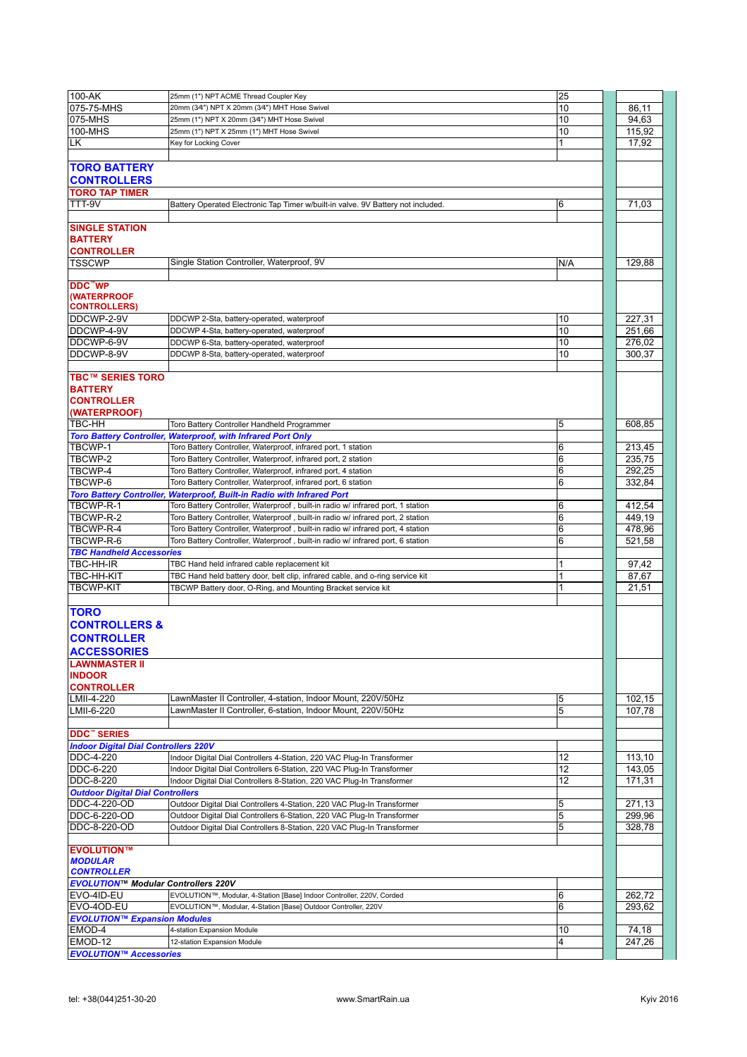| $100 - AK$                                                                                                                                                     | 25mm (1") NPT ACME Thread Coupler Key                                            | 25  |        |
|----------------------------------------------------------------------------------------------------------------------------------------------------------------|----------------------------------------------------------------------------------|-----|--------|
| 075-75-MHS                                                                                                                                                     | 20mm (3/4") NPT X 20mm (3/4") MHT Hose Swivel                                    | 10  | 86.11  |
|                                                                                                                                                                |                                                                                  |     |        |
| 075-MHS                                                                                                                                                        | 25mm (1") NPT X 20mm (3/4") MHT Hose Swivel                                      | 10  | 94,63  |
| 100-MHS                                                                                                                                                        | 25mm (1") NPT X 25mm (1") MHT Hose Swivel                                        | 10  | 115,92 |
| LK                                                                                                                                                             | Key for Locking Cover                                                            | 1   | 17,92  |
|                                                                                                                                                                |                                                                                  |     |        |
| <b>TORO BATTERY</b><br><b>CONTROLLERS</b>                                                                                                                      |                                                                                  |     |        |
| <b>TORO TAP TIMER</b>                                                                                                                                          |                                                                                  |     |        |
| TTT-9V                                                                                                                                                         | Battery Operated Electronic Tap Timer w/built-in valve. 9V Battery not included. | 6   | 71,03  |
|                                                                                                                                                                |                                                                                  |     |        |
|                                                                                                                                                                |                                                                                  |     |        |
| <b>SINGLE STATION</b><br><b>BATTERY</b><br><b>CONTROLLER</b>                                                                                                   |                                                                                  |     |        |
| <b>TSSCWP</b>                                                                                                                                                  | Single Station Controller, Waterproof, 9V                                        | N/A | 129,88 |
|                                                                                                                                                                |                                                                                  |     |        |
| DDC"WP<br>(WATERPROOF<br><b>CONTROLLERS)</b>                                                                                                                   |                                                                                  |     |        |
| DDCWP-2-9V                                                                                                                                                     | DDCWP 2-Sta, battery-operated, waterproof                                        | 10  | 227,31 |
| DDCWP-4-9V                                                                                                                                                     | DDCWP 4-Sta, battery-operated, waterproof                                        | 10  | 251,66 |
| IDDCWP-6-9V                                                                                                                                                    | DDCWP 6-Sta, battery-operated, waterproof                                        | 10  | 276,02 |
|                                                                                                                                                                |                                                                                  |     |        |
| DDCWP-8-9V                                                                                                                                                     | DDCWP 8-Sta, battery-operated, waterproof                                        | 10  | 300,37 |
| <b>TBC™ SERIES TORO</b><br><b>BATTERY</b><br><b>CONTROLLER</b><br>(WATERPROOF)                                                                                 |                                                                                  |     |        |
| TBC-HH                                                                                                                                                         | Toro Battery Controller Handheld Programmer                                      | 5   | 608,85 |
|                                                                                                                                                                | <b>Toro Battery Controller, Waterproof, with Infrared Port Only</b>              |     |        |
| TBCWP-1                                                                                                                                                        | Toro Battery Controller, Waterproof, infrared port, 1 station                    | 6   |        |
|                                                                                                                                                                |                                                                                  |     | 213,45 |
| TBCWP-2                                                                                                                                                        | Toro Battery Controller, Waterproof, infrared port, 2 station                    | 6   | 235,75 |
| TBCWP-4                                                                                                                                                        | Toro Battery Controller, Waterproof, infrared port, 4 station                    | 6   | 292.25 |
| TBCWP-6                                                                                                                                                        | Toro Battery Controller, Waterproof, infrared port, 6 station                    | 6   | 332,84 |
|                                                                                                                                                                | Toro Battery Controller, Waterproof, Built-in Radio with Infrared Port           |     |        |
| TBCWP-R-1                                                                                                                                                      | Toro Battery Controller, Waterproof, built-in radio w/ infrared port, 1 station  | 6   | 412,54 |
| TBCWP-R-2                                                                                                                                                      | Toro Battery Controller, Waterproof, built-in radio w/ infrared port, 2 station  | 6   | 449,19 |
|                                                                                                                                                                |                                                                                  |     |        |
| TBCWP-R-4                                                                                                                                                      | Toro Battery Controller, Waterproof, built-in radio w/ infrared port, 4 station  | 6   | 478,96 |
| TBCWP-R-6                                                                                                                                                      | Toro Battery Controller, Waterproof, built-in radio w/ infrared port, 6 station  | 6   | 521,58 |
| <b>TBC Handheld Accessories</b>                                                                                                                                |                                                                                  |     |        |
| TBC-HH-IR                                                                                                                                                      | TBC Hand held infrared cable replacement kit                                     |     | 97,42  |
| <b>TBC-HH-KIT</b>                                                                                                                                              | TBC Hand held battery door, belt clip, infrared cable, and o-ring service kit    | 1   | 87,67  |
| <b>TBCWP-KIT</b>                                                                                                                                               | TBCWP Battery door, O-Ring, and Mounting Bracket service kit                     | 1   | 21,51  |
|                                                                                                                                                                |                                                                                  |     |        |
| <b>TORO</b><br><b>CONTROLLERS &amp;</b><br><b>CONTROLLER</b><br><b>ACCESSORIES</b><br><b>LAWNMASTER II</b><br><b>INDOOR</b><br><b>CONTROLLER</b><br>LMII-4-220 | LawnMaster II Controller, 4-station, Indoor Mount, 220V/50Hz                     | 5   | 102,15 |
| LMII-6-220                                                                                                                                                     | LawnMaster II Controller, 6-station, Indoor Mount, 220V/50Hz                     | 5   | 107,78 |
|                                                                                                                                                                |                                                                                  |     |        |
|                                                                                                                                                                |                                                                                  |     |        |
| <b>DDC</b> <sup>"</sup> SERIES                                                                                                                                 |                                                                                  |     |        |
| <b>Indoor Digital Dial Controllers 220V</b>                                                                                                                    |                                                                                  |     |        |
| DDC-4-220                                                                                                                                                      | Indoor Digital Dial Controllers 4-Station, 220 VAC Plug-In Transformer           | 12  | 113,10 |
| DDC-6-220                                                                                                                                                      | Indoor Digital Dial Controllers 6-Station, 220 VAC Plug-In Transformer           | 12  | 143,05 |
| DDC-8-220                                                                                                                                                      | Indoor Digital Dial Controllers 8-Station, 220 VAC Plug-In Transformer           | 12  | 171,31 |
| <b>Outdoor Digital Dial Controllers</b>                                                                                                                        |                                                                                  |     |        |
|                                                                                                                                                                |                                                                                  |     |        |
| DDC-4-220-OD                                                                                                                                                   | Outdoor Digital Dial Controllers 4-Station, 220 VAC Plug-In Transformer          | 5   | 271,13 |
| DDC-6-220-OD                                                                                                                                                   | Outdoor Digital Dial Controllers 6-Station, 220 VAC Plug-In Transformer          | 5   | 299,96 |
| DDC-8-220-OD                                                                                                                                                   | Outdoor Digital Dial Controllers 8-Station, 220 VAC Plug-In Transformer          | 5   | 328,78 |
| <b>EVOLUTION™</b><br><b>MODULAR</b><br><b>CONTROLLER</b>                                                                                                       |                                                                                  |     |        |
| <b>EVOLUTION™ Modular Controllers 220V</b>                                                                                                                     |                                                                                  |     |        |
| EVO-4ID-EU                                                                                                                                                     | EVOLUTION™, Modular, 4-Station [Base] Indoor Controller, 220V, Corded            | 6   | 262,72 |
| EVO-4OD-EU                                                                                                                                                     | EVOLUTION™, Modular, 4-Station [Base] Outdoor Controller, 220V                   | 6   | 293,62 |
| <b>EVOLUTION™ Expansion Modules</b>                                                                                                                            |                                                                                  |     |        |
| EMOD-4                                                                                                                                                         | 4-station Expansion Module                                                       | 10  | 74,18  |
| EMOD-12                                                                                                                                                        | 12-station Expansion Module                                                      | 4   |        |
|                                                                                                                                                                |                                                                                  |     | 247,26 |
| <b>EVOLUTION™ Accessories</b>                                                                                                                                  |                                                                                  |     |        |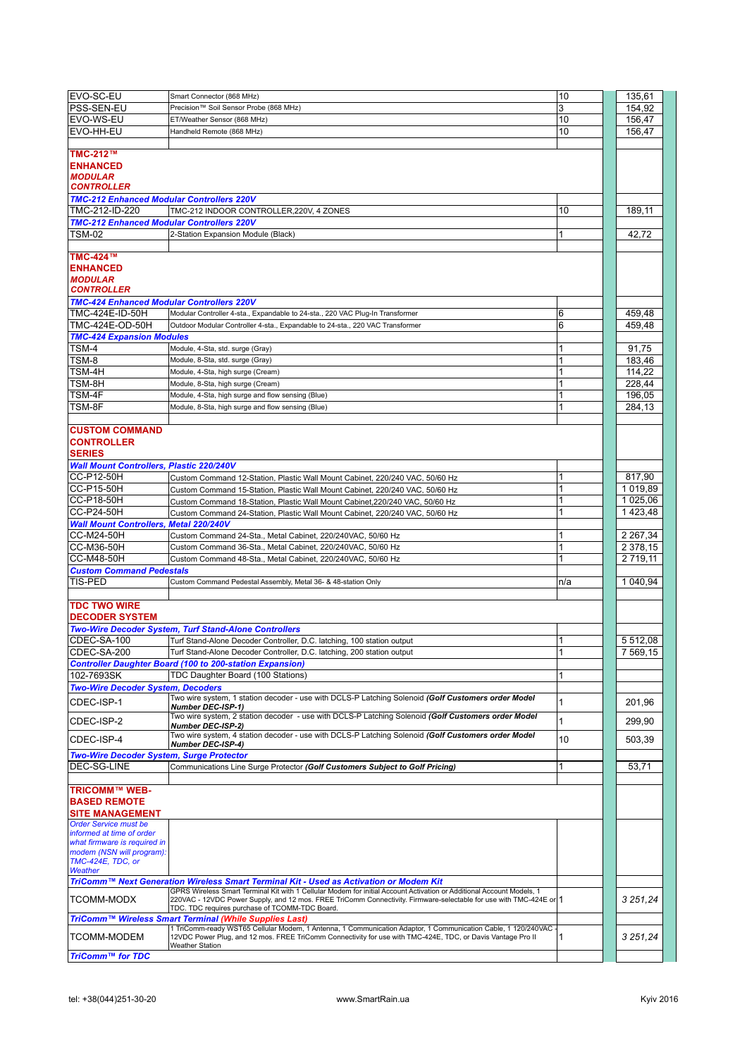| EVO-SC-EU                                        | Smart Connector (868 MHz)                                                                                                                                                                                                    | 10  | 135,61        |
|--------------------------------------------------|------------------------------------------------------------------------------------------------------------------------------------------------------------------------------------------------------------------------------|-----|---------------|
| PSS-SEN-EU                                       | Precision™ Soil Sensor Probe (868 MHz)                                                                                                                                                                                       | 3   | 154.92        |
|                                                  |                                                                                                                                                                                                                              |     |               |
| EVO-WS-EU                                        | ET/Weather Sensor (868 MHz)                                                                                                                                                                                                  | 10  | 156,47        |
| EVO-HH-EU                                        | Handheld Remote (868 MHz)                                                                                                                                                                                                    | 10  | 156,47        |
|                                                  |                                                                                                                                                                                                                              |     |               |
| TMC-212™                                         |                                                                                                                                                                                                                              |     |               |
| <b>ENHANCED</b>                                  |                                                                                                                                                                                                                              |     |               |
| <b>MODULAR</b>                                   |                                                                                                                                                                                                                              |     |               |
| <b>CONTROLLER</b>                                |                                                                                                                                                                                                                              |     |               |
| <b>TMC-212 Enhanced Modular Controllers 220V</b> |                                                                                                                                                                                                                              |     |               |
| TMC-212-ID-220                                   | TMC-212 INDOOR CONTROLLER,220V, 4 ZONES                                                                                                                                                                                      | 10  | 189,11        |
| <b>TMC-212 Enhanced Modular Controllers 220V</b> |                                                                                                                                                                                                                              |     |               |
| <b>TSM-02</b>                                    | 2-Station Expansion Module (Black)                                                                                                                                                                                           |     | 42,72         |
|                                                  |                                                                                                                                                                                                                              |     |               |
| <b>TMC-424™</b>                                  |                                                                                                                                                                                                                              |     |               |
|                                                  |                                                                                                                                                                                                                              |     |               |
| <b>ENHANCED</b>                                  |                                                                                                                                                                                                                              |     |               |
| <b>MODULAR</b><br><b>CONTROLLER</b>              |                                                                                                                                                                                                                              |     |               |
|                                                  |                                                                                                                                                                                                                              |     |               |
| <b>TMC-424 Enhanced Modular Controllers 220V</b> |                                                                                                                                                                                                                              |     |               |
| TMC-424E-ID-50H                                  | Modular Controller 4-sta., Expandable to 24-sta., 220 VAC Plug-In Transformer                                                                                                                                                | 6   | 459,48        |
| TMC-424E-OD-50H                                  | Outdoor Modular Controller 4-sta., Expandable to 24-sta., 220 VAC Transformer                                                                                                                                                | 6   | 459.48        |
| <b>TMC-424 Expansion Modules</b>                 |                                                                                                                                                                                                                              |     |               |
| TSM-4                                            | Module, 4-Sta, std. surge (Gray)                                                                                                                                                                                             |     | 91.75         |
| TSM-8                                            | Module, 8-Sta, std. surge (Gray)                                                                                                                                                                                             |     | 183,46        |
| TSM-4H                                           | Module, 4-Sta, high surge (Cream)                                                                                                                                                                                            |     | 114,22        |
| TSM-8H                                           | Module, 8-Sta, high surge (Cream)                                                                                                                                                                                            |     | 228.44        |
| TSM-4F                                           | Module, 4-Sta, high surge and flow sensing (Blue)                                                                                                                                                                            |     | 196,05        |
| TSM-8F                                           | Module, 8-Sta, high surge and flow sensing (Blue)                                                                                                                                                                            |     | 284,13        |
|                                                  |                                                                                                                                                                                                                              |     |               |
|                                                  |                                                                                                                                                                                                                              |     |               |
| <b>CUSTOM COMMAND</b>                            |                                                                                                                                                                                                                              |     |               |
| <b>CONTROLLER</b>                                |                                                                                                                                                                                                                              |     |               |
| <b>SERIES</b>                                    |                                                                                                                                                                                                                              |     |               |
| <b>Wall Mount Controllers, Plastic 220/240V</b>  |                                                                                                                                                                                                                              |     |               |
| CC-P12-50H                                       | Custom Command 12-Station, Plastic Wall Mount Cabinet, 220/240 VAC, 50/60 Hz                                                                                                                                                 |     | 817,90        |
| CC-P15-50H                                       | Custom Command 15-Station, Plastic Wall Mount Cabinet, 220/240 VAC, 50/60 Hz                                                                                                                                                 | 1   | 1 019.89      |
| CC-P18-50H                                       | Custom Command 18-Station, Plastic Wall Mount Cabinet, 220/240 VAC, 50/60 Hz                                                                                                                                                 |     | 1 025,06      |
| CC-P24-50H                                       | Custom Command 24-Station, Plastic Wall Mount Cabinet, 220/240 VAC, 50/60 Hz                                                                                                                                                 |     | 1423,48       |
| <b>Wall Mount Controllers, Metal 220/240V</b>    |                                                                                                                                                                                                                              |     |               |
| CC-M24-50H                                       | Custom Command 24-Sta., Metal Cabinet, 220/240VAC, 50/60 Hz                                                                                                                                                                  |     | 2 2 6 7 3 4   |
| CC-M36-50H                                       | Custom Command 36-Sta., Metal Cabinet, 220/240VAC, 50/60 Hz                                                                                                                                                                  | 1   | 2 378,15      |
| <b>CC-M48-50H</b>                                |                                                                                                                                                                                                                              | 1   | 2 719.11      |
|                                                  | Custom Command 48-Sta., Metal Cabinet, 220/240VAC, 50/60 Hz                                                                                                                                                                  |     |               |
| <b>Custom Command Pedestals</b>                  |                                                                                                                                                                                                                              |     |               |
| <b>TIS-PED</b>                                   | Custom Command Pedestal Assembly, Metal 36- & 48-station Only                                                                                                                                                                | n/a | 1 040.94      |
|                                                  |                                                                                                                                                                                                                              |     |               |
| <b>TDC TWO WIRE</b>                              |                                                                                                                                                                                                                              |     |               |
| <b>DECODER SYSTEM</b>                            |                                                                                                                                                                                                                              |     |               |
|                                                  | <b>Two-Wire Decoder System, Turf Stand-Alone Controllers</b>                                                                                                                                                                 |     |               |
| CDEC-SA-100                                      | Turf Stand-Alone Decoder Controller, D.C. latching, 100 station output                                                                                                                                                       | 1   | 5 5 1 2 , 0 8 |
| CDEC-SA-200                                      | Turf Stand-Alone Decoder Controller, D.C. latching, 200 station output                                                                                                                                                       |     | 7569,15       |
|                                                  | <b>Controller Daughter Board (100 to 200-station Expansion)</b>                                                                                                                                                              |     |               |
| 102-7693SK                                       | TDC Daughter Board (100 Stations)                                                                                                                                                                                            | 1   |               |
| <b>Two-Wire Decoder System, Decoders</b>         |                                                                                                                                                                                                                              |     |               |
|                                                  | Two wire system, 1 station decoder - use with DCLS-P Latching Solenoid (Golf Customers order Model                                                                                                                           |     |               |
| CDEC-ISP-1                                       | <b>Number DEC-ISP-1)</b>                                                                                                                                                                                                     | 1   | 201,96        |
| CDEC-ISP-2                                       | Two wire system, 2 station decoder - use with DCLS-P Latching Solenoid (Golf Customers order Model                                                                                                                           | 1   | 299,90        |
|                                                  | <b>Number DEC-ISP-2)</b>                                                                                                                                                                                                     |     |               |
| CDEC-ISP-4                                       | Two wire system, 4 station decoder - use with DCLS-P Latching Solenoid (Golf Customers order Model                                                                                                                           | 10  | 503,39        |
|                                                  | Number DEC-ISP-4)                                                                                                                                                                                                            |     |               |
| <b>Two-Wire Decoder System, Surge Protector</b>  |                                                                                                                                                                                                                              |     |               |
| DEC-SG-LINE                                      | Communications Line Surge Protector (Golf Customers Subject to Golf Pricing)                                                                                                                                                 | 1   | 53,71         |
|                                                  |                                                                                                                                                                                                                              |     |               |
| <b>TRICOMM™ WEB-</b>                             |                                                                                                                                                                                                                              |     |               |
| <b>BASED REMOTE</b>                              |                                                                                                                                                                                                                              |     |               |
| <b>SITE MANAGEMENT</b>                           |                                                                                                                                                                                                                              |     |               |
| <b>Order Service must be</b>                     |                                                                                                                                                                                                                              |     |               |
| informed at time of order                        |                                                                                                                                                                                                                              |     |               |
| what firmware is required in                     |                                                                                                                                                                                                                              |     |               |
| modem (NSN will program):<br>TMC-424E, TDC, or   |                                                                                                                                                                                                                              |     |               |
| Weather                                          |                                                                                                                                                                                                                              |     |               |
|                                                  | TriComm™ Next Generation Wireless Smart Terminal Kit - Used as Activation or Modem Kit                                                                                                                                       |     |               |
|                                                  | GPRS Wireless Smart Terminal Kit with 1 Cellular Modem for initial Account Activation or Additional Account Models, 1                                                                                                        |     |               |
| TCOMM-MODX                                       | 220VAC - 12VDC Power Supply, and 12 mos. FREE TriComm Connectivity. Firmware-selectable for use with TMC-424E or 1                                                                                                           |     | 3 251,24      |
|                                                  | TDC. TDC requires purchase of TCOMM-TDC Board.                                                                                                                                                                               |     |               |
|                                                  | TriComm™ Wireless Smart Terminal (While Supplies Last)                                                                                                                                                                       |     |               |
| <b>TCOMM-MODEM</b>                               | 1 TriComm-ready WST65 Cellular Modem, 1 Antenna, 1 Communication Adaptor, 1 Communication Cable, 1 120/240VAC<br>12VDC Power Plug, and 12 mos. FREE TriComm Connectivity for use with TMC-424E, TDC, or Davis Vantage Pro II | 1   | 3 251,24      |
|                                                  | <b>Weather Station</b>                                                                                                                                                                                                       |     |               |
|                                                  |                                                                                                                                                                                                                              |     |               |